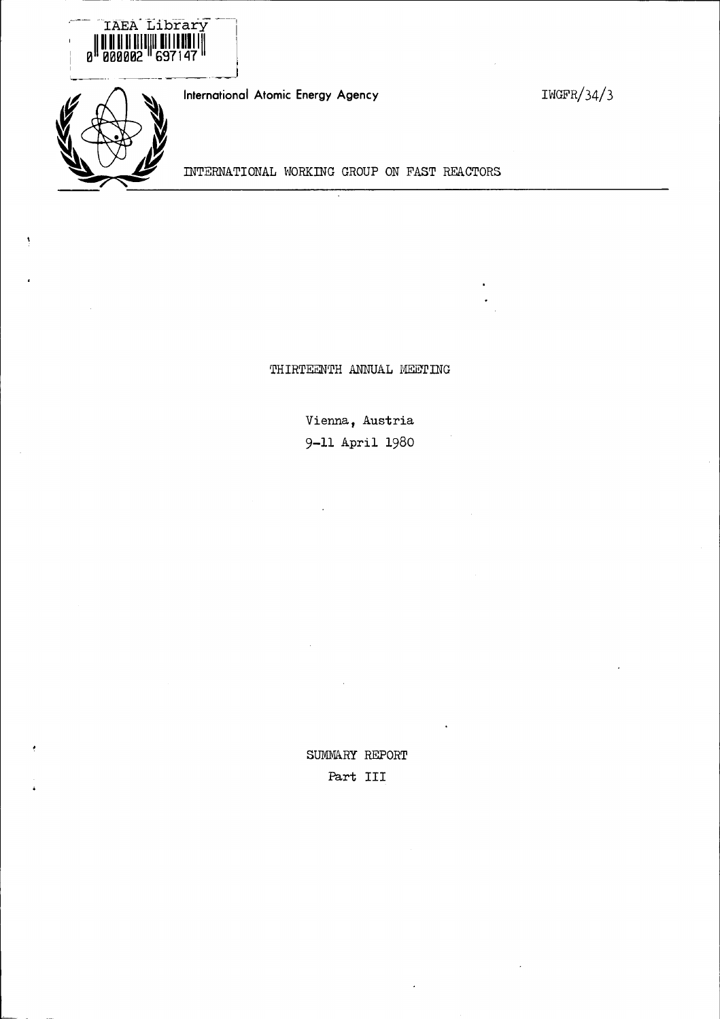



International Atomic Energy Agency

 $IWGFR/34/3$ 

INTERNATIONAL WORKING GROUP ON FAST REACTORS

THIRTEENTH ANNUAL MEETING

Vienna, Austria 9-11 April 1980

SUMMARY REPORT Part III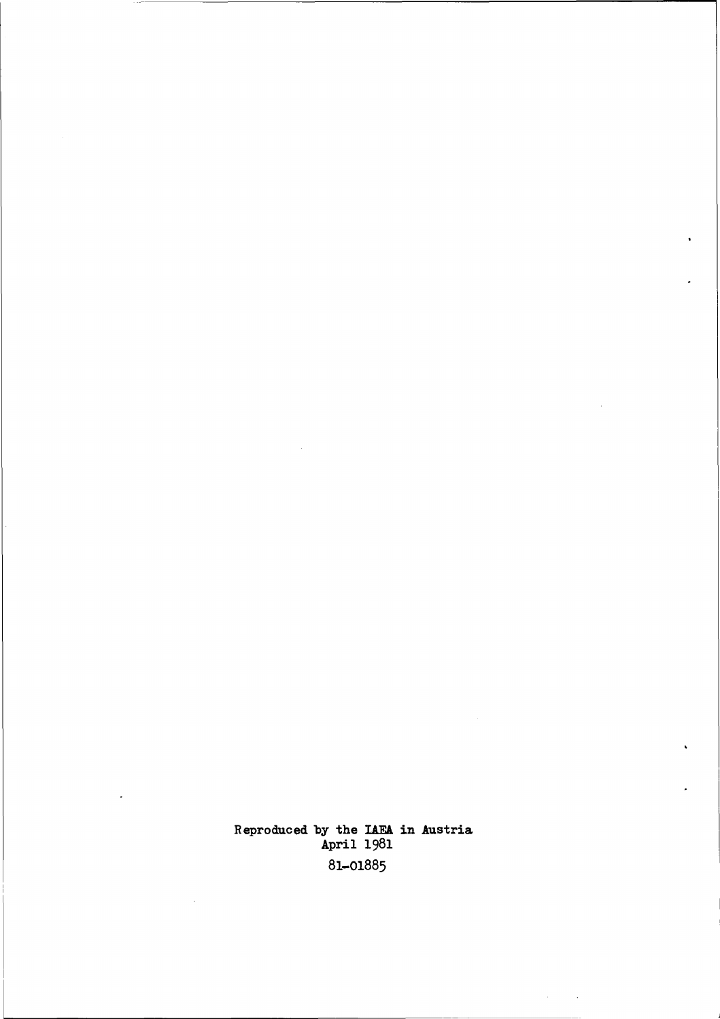Reproduced by the IAEA in Austria<br>April 1981 81-01885

 $\alpha = 1/2$  ,  $\alpha$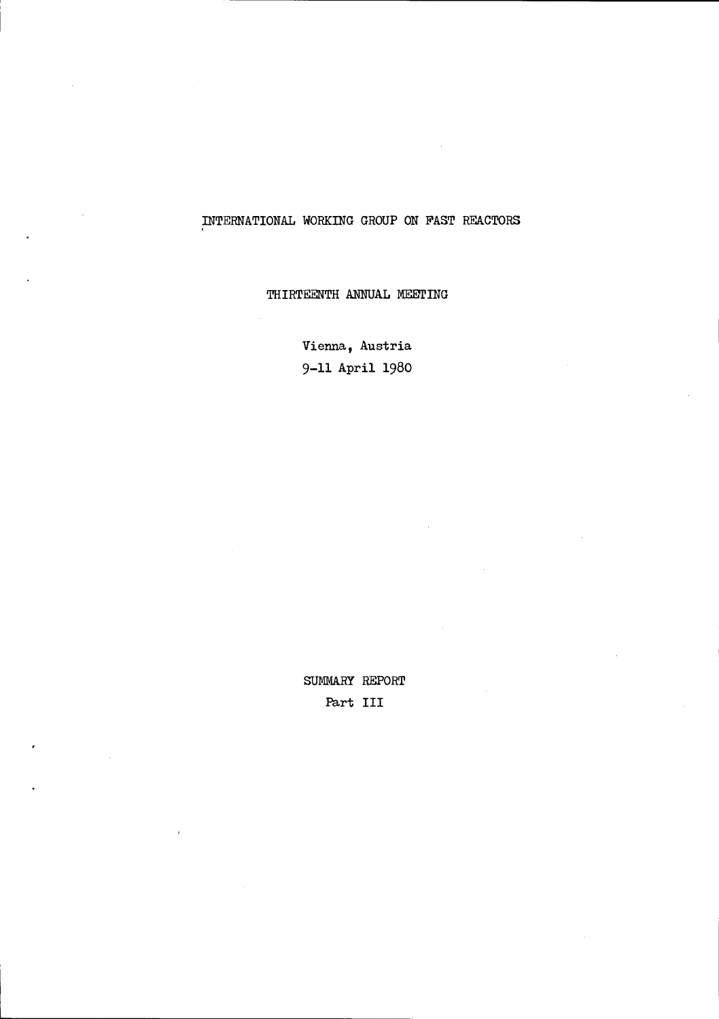# INTERNATIONAL WORKING GROUP ON PAST REACTORS

TH I RTEENTH ANNUAL MEETING

Vienna, Austria 9-11 April 1980

SUMMARY REPORT Part III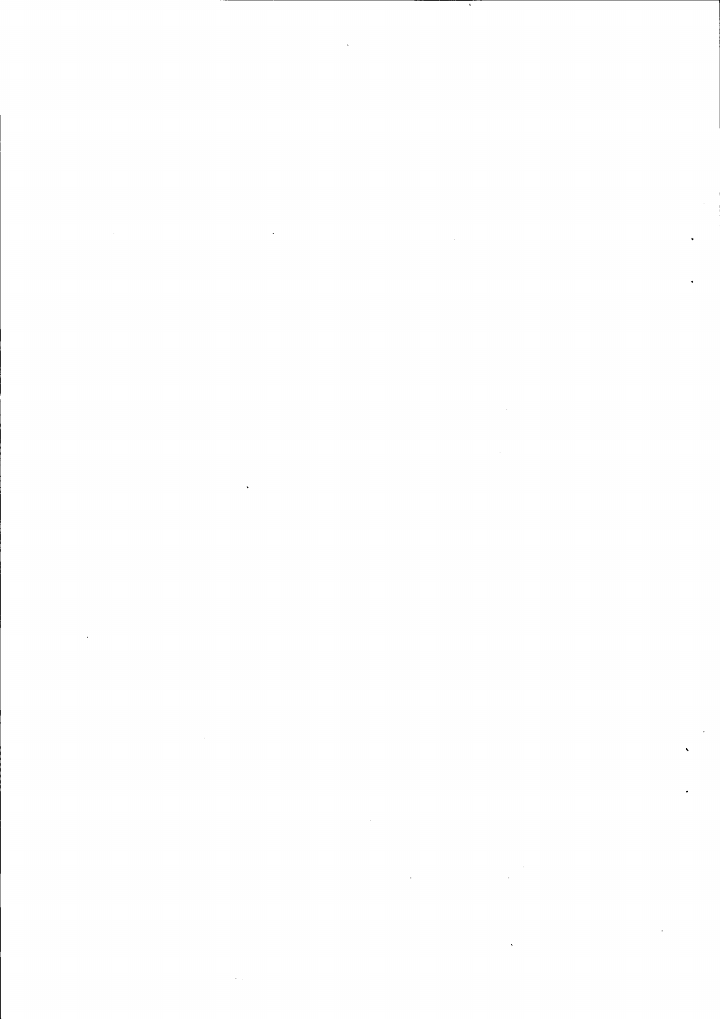$\label{eq:2.1} \mathcal{L}_{\mathcal{A}}(\mathcal{A}) = \mathcal{L}_{\mathcal{A}}(\mathcal{A}) \mathcal{L}_{\mathcal{A}}(\mathcal{A})$  $\label{eq:2.1} \frac{1}{\sqrt{2\pi}}\left(\frac{1}{\sqrt{2\pi}}\right)^{2} \left(\frac{1}{\sqrt{2\pi}}\right)^{2} \left(\frac{1}{\sqrt{2\pi}}\right)^{2} \left(\frac{1}{\sqrt{2\pi}}\right)^{2} \left(\frac{1}{\sqrt{2\pi}}\right)^{2} \left(\frac{1}{\sqrt{2\pi}}\right)^{2} \left(\frac{1}{\sqrt{2\pi}}\right)^{2} \left(\frac{1}{\sqrt{2\pi}}\right)^{2} \left(\frac{1}{\sqrt{2\pi}}\right)^{2} \left(\frac{1}{\sqrt{2\pi}}\right)^{2$  $\label{eq:2.1} \frac{1}{2} \sum_{i=1}^n \frac{1}{2} \sum_{i=1}^n \frac{1}{2} \sum_{i=1}^n \frac{1}{2} \sum_{i=1}^n \frac{1}{2} \sum_{i=1}^n \frac{1}{2} \sum_{i=1}^n \frac{1}{2} \sum_{i=1}^n \frac{1}{2} \sum_{i=1}^n \frac{1}{2} \sum_{i=1}^n \frac{1}{2} \sum_{i=1}^n \frac{1}{2} \sum_{i=1}^n \frac{1}{2} \sum_{i=1}^n \frac{1}{2} \sum_{i=1}^n \frac{$  $\label{eq:2.1} \frac{1}{\sqrt{2}}\left(\frac{1}{\sqrt{2}}\right)^{2} \left(\frac{1}{\sqrt{2}}\right)^{2} \left(\frac{1}{\sqrt{2}}\right)^{2} \left(\frac{1}{\sqrt{2}}\right)^{2} \left(\frac{1}{\sqrt{2}}\right)^{2} \left(\frac{1}{\sqrt{2}}\right)^{2} \left(\frac{1}{\sqrt{2}}\right)^{2} \left(\frac{1}{\sqrt{2}}\right)^{2} \left(\frac{1}{\sqrt{2}}\right)^{2} \left(\frac{1}{\sqrt{2}}\right)^{2} \left(\frac{1}{\sqrt{2}}\right)^{2} \left(\$  $\frac{1}{\sqrt{2}}$ 

 $\Delta \sim 10^{11}$  m  $^{-1}$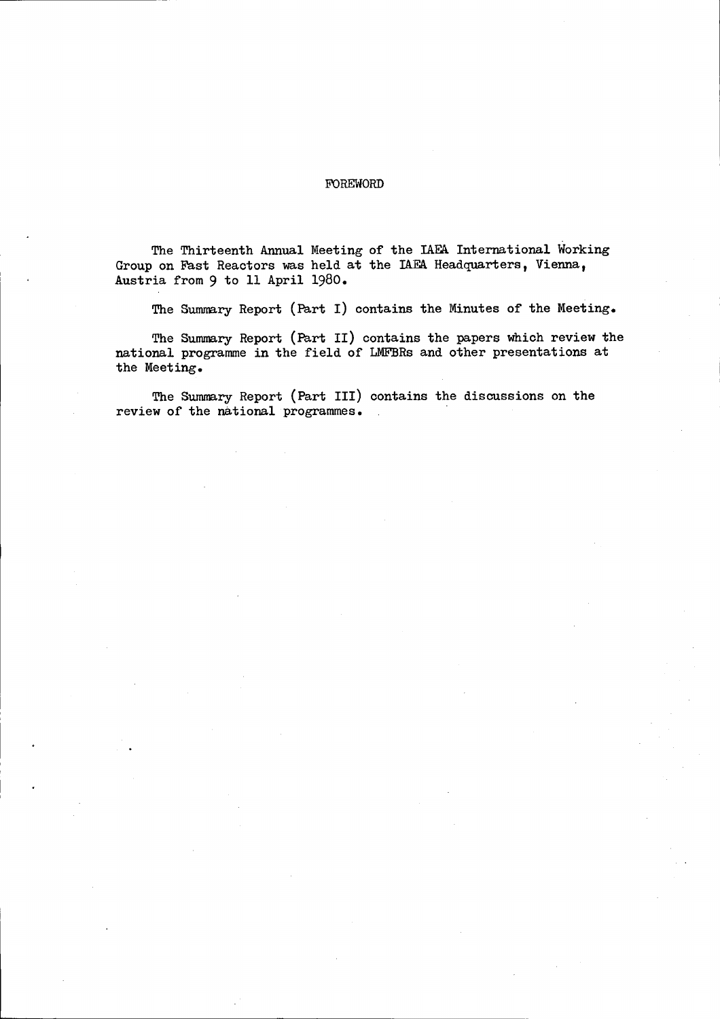## FOREWORD

The Thirteenth Annual Meeting of the IAEA International Working Group on Fast Reactors was held at the IAEA Headquarters, Vienna, Austria from 9 to 11 April 1980.

The Summary Report (Part I) contains the Minutes of the Meeting.

The Summary Report (Part II) contains the papers which review the national programme in the field of LMFBRs and other presentations at the Meeting.

The Summary Report (Part III) contains the discussions on the review of the national programmes.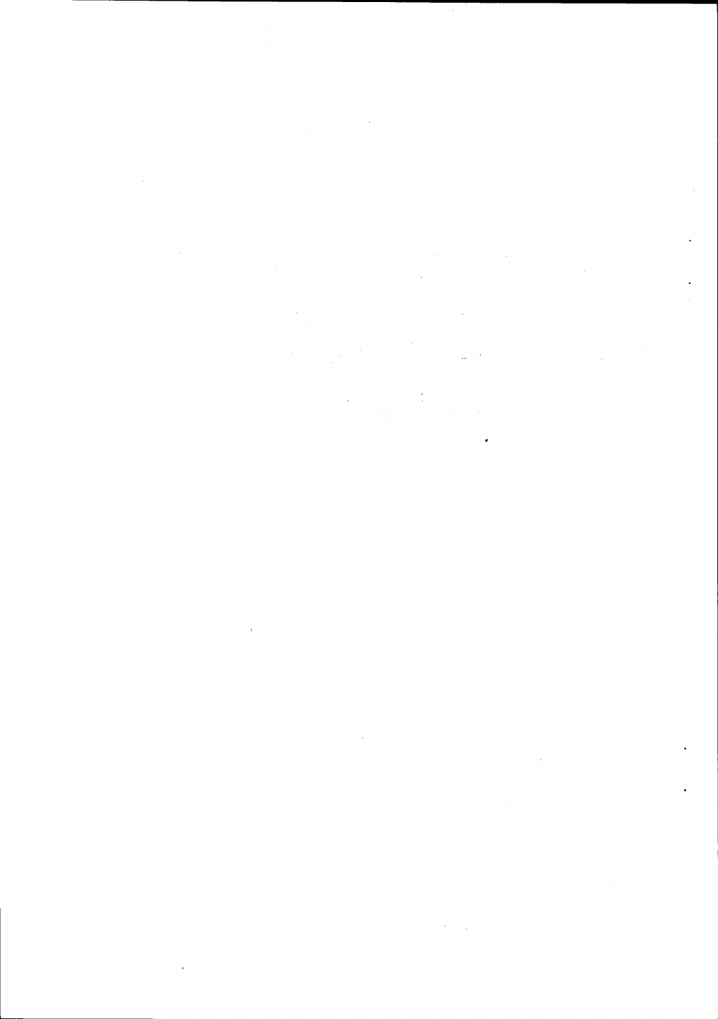$\label{eq:2.1} \frac{1}{\sqrt{2}}\int_{\mathbb{R}^3}\frac{1}{\sqrt{2}}\left(\frac{1}{\sqrt{2}}\right)^2\frac{1}{\sqrt{2}}\left(\frac{1}{\sqrt{2}}\right)^2\frac{1}{\sqrt{2}}\left(\frac{1}{\sqrt{2}}\right)^2\frac{1}{\sqrt{2}}\left(\frac{1}{\sqrt{2}}\right)^2\frac{1}{\sqrt{2}}\left(\frac{1}{\sqrt{2}}\right)^2\frac{1}{\sqrt{2}}\frac{1}{\sqrt{2}}\frac{1}{\sqrt{2}}\frac{1}{\sqrt{2}}\frac{1}{\sqrt{2}}\frac{1}{\sqrt{2}}$ 

 $\mathcal{L}^{\mathcal{L}}(\mathcal{L}^{\mathcal{L}})$  and the contract of the contract of the contract of the contract of the contract of the contract of the contract of the contract of the contract of the contract of the contract of the contrac 

 $\label{eq:2.1} \frac{1}{\sqrt{2}}\int_{\mathbb{R}^3}\frac{1}{\sqrt{2}}\left(\frac{1}{\sqrt{2}}\int_{\mathbb{R}^3}\frac{1}{\sqrt{2}}\left(\frac{1}{\sqrt{2}}\int_{\mathbb{R}^3}\frac{1}{\sqrt{2}}\right)\left(\frac{1}{\sqrt{2}}\int_{\mathbb{R}^3}\frac{1}{\sqrt{2}}\right)\left(\frac{1}{\sqrt{2}}\int_{\mathbb{R}^3}\frac{1}{\sqrt{2}}\right)\left(\frac{1}{\sqrt{2}}\int_{\mathbb{R}^3}\frac{1}{\sqrt{2}}\int_{\mathbb{R}$ 

 $\mathcal{L}^{\text{max}}_{\text{max}}$  , where  $\mathcal{L}^{\text{max}}_{\text{max}}$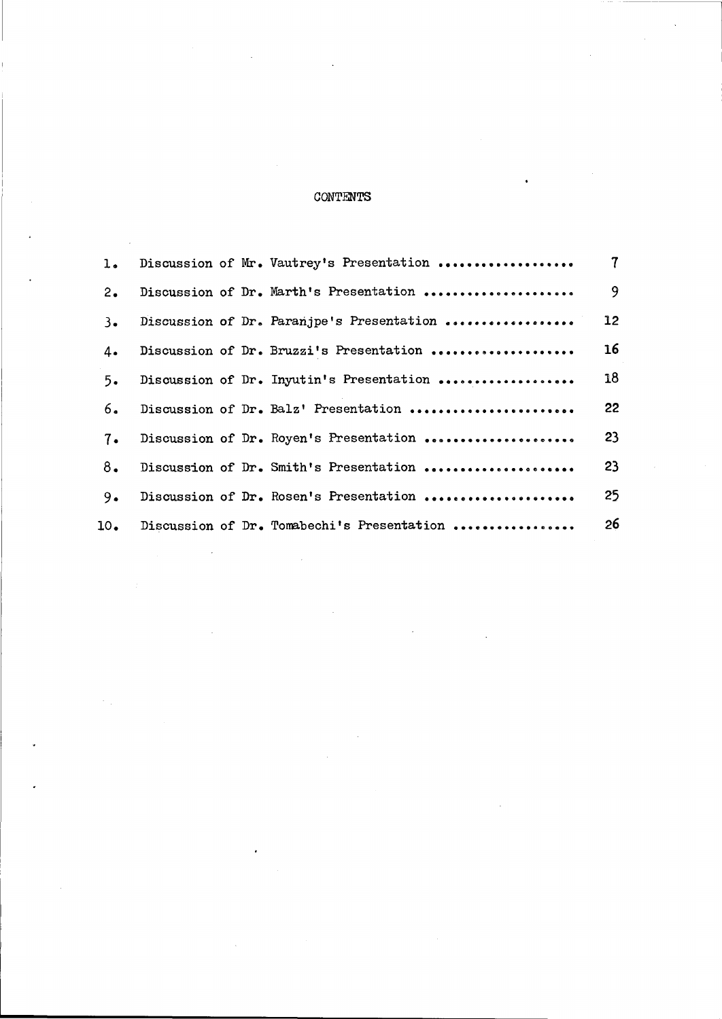## $\mathtt{CONTENTS}$

| 1.         | Discussion of Mr. Vautrey's Presentation   | 7 <sup>1</sup>  |
|------------|--------------------------------------------|-----------------|
| $2\bullet$ | Discussion of Dr. Marth's Presentation     | 9               |
| $3\bullet$ | Discussion of Dr. Paranjpe's Presentation  | 12 <sup>1</sup> |
| 4.         | Discussion of Dr. Bruzzi's Presentation    | 16              |
| 5.         | Discussion of Dr. Inyutin's Presentation   | 18              |
| 6.         | Discussion of Dr. Balz' Presentation       | 22 <sub>2</sub> |
| 7.         | Discussion of Dr. Royen's Presentation     | 23              |
| 8.         | Discussion of Dr. Smith's Presentation     | 23 <sub>2</sub> |
| 9.         | Discussion of Dr. Rosen's Presentation     | 25              |
| 10.        | Discussion of Dr. Tomabechi's Presentation | 26              |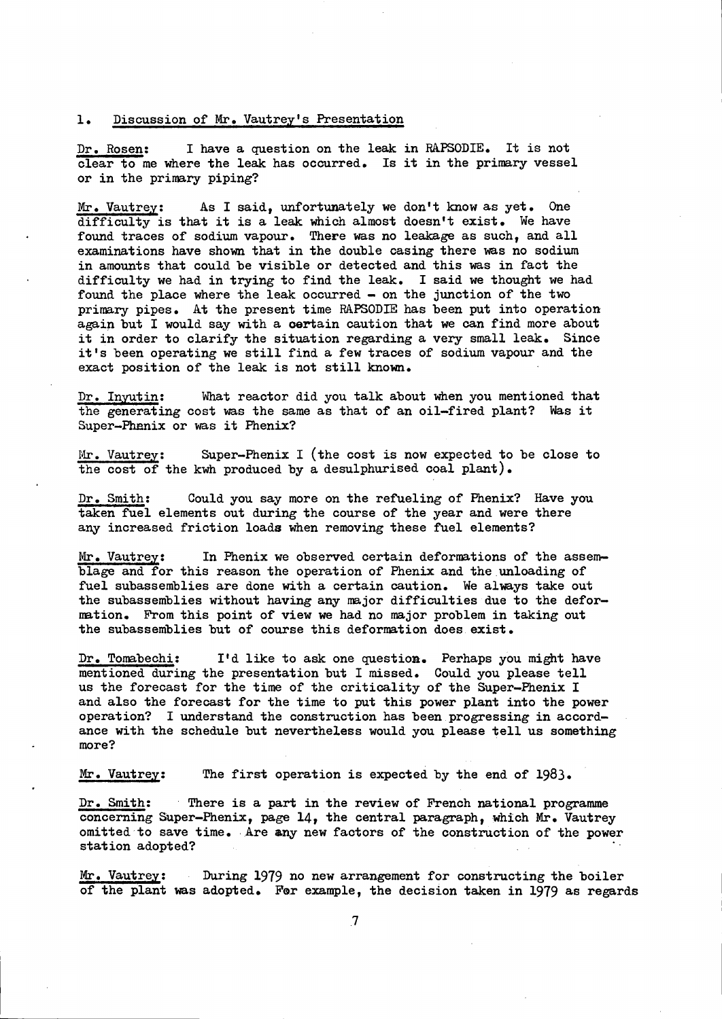#### 1. Discussion of Mr. Vautrey's Presentation

Dr. Rosen: I have a question on the leak in RAPSODIE. It is not clear to me where the leak has occurred. Is it in the primary vessel or in the primary piping?

Mr. Vautrey: As I said, unfortunately we don't know as yet. One difficulty is that it is a leak which almost doesn't exist. We have found traces of sodium vapour. There was no leakage as such, and all examinations have shown that in the double casing there was no sodium in amounts that could be visible or detected and this was in fact the difficulty we had in trying to find the leak. I said we thought we had found the place where the leak occurred  $-$  on the junction of the two primary pipes. At the present time RAPSODIE has been put into operation again but I would say with a certain caution that we can find more about it in order to clarify the situation regarding a very small leak. Since it's been operating we still find a few traces of sodium vapour and the exact position of the leak is not still known.

Dr. Invutin: What reactor did you talk about when you mentioned that the generating cost was the same as that of an oil-fired plant? Was it Super-Phenix or was it Phenix?

Mr. Vautrey: Super-Phenix I (the cost is now expected to be close to the cost of the kwh produced by a desulphurised coal plant).

Dr. Smith: Could you say more on the refueling of Phenix? Have you taken fuel elements out during the course of the year and were there any increased friction loads when removing these fuel elements?

Mr. Vautrey: In Phenix we observed certain deformations of the assemblage and for this reason the operation of Phenix and the unloading of fuel subassemblies are done with a certain caution. We always take out the subassemblies without having any major difficulties due to the deformation. From this point of view we had no major problem in taking out the subassemblies but of course this deformation does exist.

 $Dr.$  Tomabechi: I'd like to ask one question. Perhaps you might have mentioned during the presentation but I missed. Could you please tell us the forecast for the time of the criticality of the Super-Phenix I and also the forecast for the time to put this power plant into the power operation? I understand the construction has been progressing in accordance with the schedule but nevertheless would you please tell us something more?

Mr. Vautrey: The first operation is expected by the end of  $1983$ .

 $Dr.$  Smith: There is a part in the review of French national programme concerning Super-Phenix, page  $14$ , the central paragraph, which Mr. Vautrey omitted to save time. Are any new factors of the construction of the power station adopted?

Mr. Vautrey: During 1979 no new arrangement for constructing the boiler of the plant was adopted. For example, the decision taken in 1979 as regards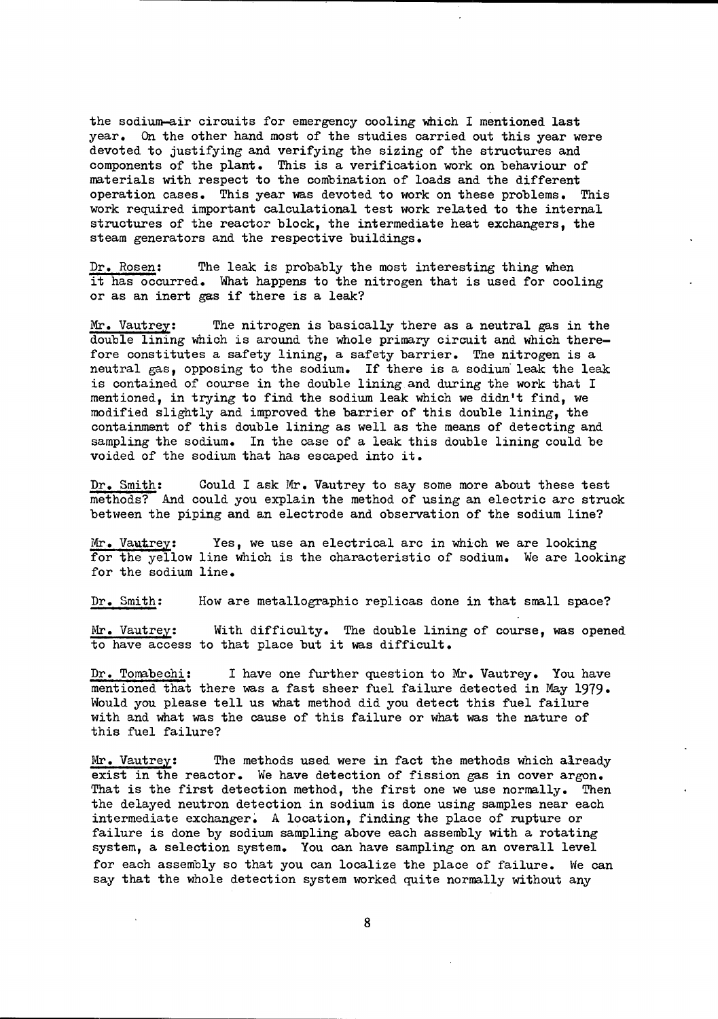the sodium-air circuits for emergency cooling which I mentioned last year. On the other hand most of the studies carried out this year were devoted to justifying and verifying the sizing of the structures and components of the plant. This is a verification work on behaviour of materials with respect to the combination of loads and the different operation cases. This year was devoted to work on these problems. This work required important calculational test work related to the internal structures of the reactor block, the intermediate heat exchangers, the steam generators and the respective buildings.

Dr. Rosen: The leak is probably the most interesting thing when it has occurred. What happens to the nitrogen that is used for cooling or as an inert gas if there is a leak?

Mr. Vautrey: The nitrogen is basically there as a neutral gas in the double lining which is around the whole primary circuit and which therefore constitutes a safety lining, a safety barrier. The nitrogen is a neutral gas, opposing to the sodium. If there is a sodium' leak the leak is contained of course in the double lining and during the work that I mentioned, in trying to find the sodium leak which we didn't find, we modified slightly and improved the barrier of this double lining, the containment of this double lining as well as the means of detecting and sampling the sodium. In the case of a leak this double lining could be voided of the sodium that has escaped into it.

Dr. Smith: Gould I ask Mr. Vautrey to say some more about these test methods? And could you explain the method of using an electric arc struck between the piping and an electrode and observation of the sodium line?

Mr. Vautrey: Yes, we use an electrical arc in which we are looking for the yellow line which is the characteristic of sodium. We are looking for the sodium line.

Dr. Smith: How are metallographic replicas done in that small space?

Mr. Vautrey: With difficulty. The double lining of course, was opened to have access to that place but it was difficult.

Dr. Tomabechi: I have one further question to Mr. Vautrey. You have mentioned that there was a fast sheer fuel failure detected in May 1979» Would you please tell us what method did you detect this fuel failure with and what was the cause of this failure or what was the nature of this fuel failure?

Mr. Vautrey: The methods used were in fact the methods which already exist in the reactor. We have detection of fission gas in cover argon. That is the first detection method, the first one we use normally. Then the delayed neutron detection in sodium is done using samples near each intermediate exchanger. A location, finding the place of rupture or failure is done by sodium sampling above each assembly with a rotating system, a selection system. You can have sampling on an overall level for each assembly so that you can localize the place of failure. We can say that the whole detection system worked quite normally without any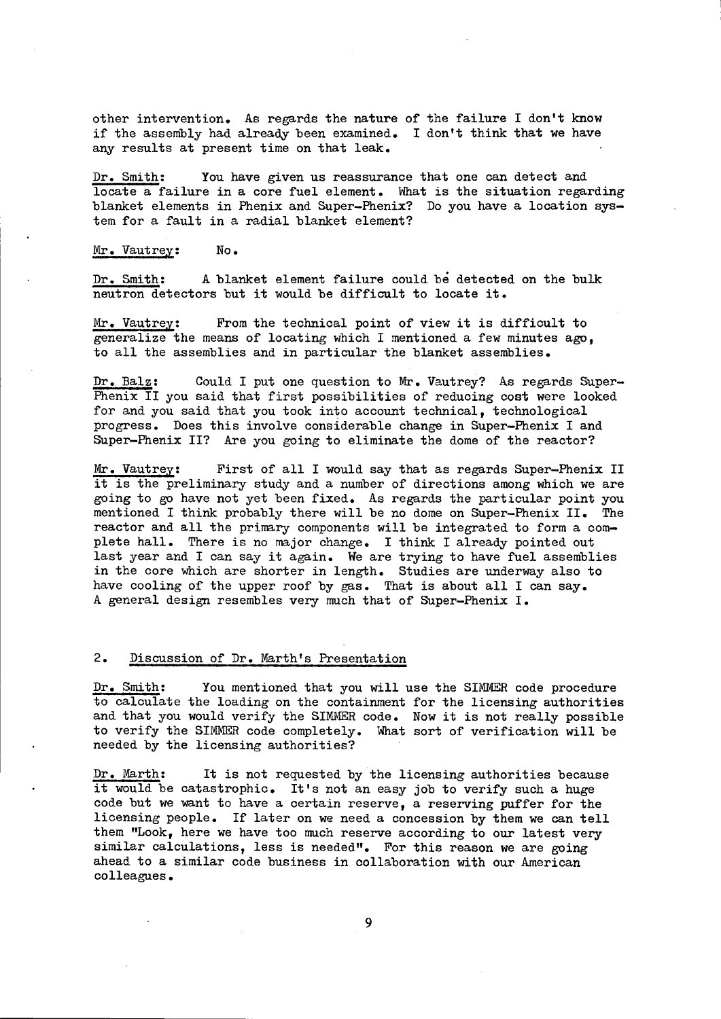other intervention. As regards the nature of the failure I don't know if the assembly had already been examined. I don't think that we have any results at present time on that leak.

Dr. Smith: You have given us reassurance that one can detect and locate a failure in a core fuel element. What is the situation regarding blanket elements in Phenix and Super-Phenix? Do you have a location system for a fault in a radial blanket element?

Mr. Vautrey: No.

Dr. Smith: A blanket element failure could be detected on the bulk neutron detectors but it would be difficult to locate it.

Mr. Vautrey: From the technical point of view it is difficult to generalize the means of locating which I mentioned a few minutes  $a_{g0}$ , to all the assemblies and in particular the blanket assemblies.

Dr. Balz: Could I put one question to Mr. Vautrey? As regards Super-Fhenix  $II$  you said that first possibilities of reducing cost were looked for and you said that you took into account technical, technological progress. Does this involve considerable change in Super-Phenix I and Super-Phenix II? Are you going to eliminate the dome of the reactor?

Mr. Vautrey: First of all I would say that as regards Super-Phenix II it is the preliminary study and a number of directions among which we are going to go have not yet been fixed. As regards the particular point you mentioned I think probably there will be no dome on Super-Phenix II. The reactor and all the primary components will be integrated to form a complete hall. There is no major change. I think I already pointed out last year and I can say it again. We are trying to have fuel assemblies in the core which are shorter in length. Studies are underway also to have cooling of the upper roof by gas. That is about all I can say. A general design resembles very much that of Super-Phenix  $I$ .

## 2. Discussion of Dr. Marth's Presentation

Dr. Smith: You mentioned that you will use the SIMMER code procedure to calculate the loading on the containment for the licensing authorities and that you would verify the SIMMER code. Now it is not really possible to verify the SIMMER code completely. What sort of verification will be needed by the licensing authorities?

Dr. Marth: It is not requested by the licensing authorities because it would be catastrophic. It's not an easy job to verify such a huge code but we want to have a certain reserve, a reserving puffer for the licensing people. If later on we need a concession by them we can tell them "Look, here we have too much reserve according to our latest very similar calculations, less is needed". For this reason we are going ahead to a similar code business in collaboration with our American colleagues.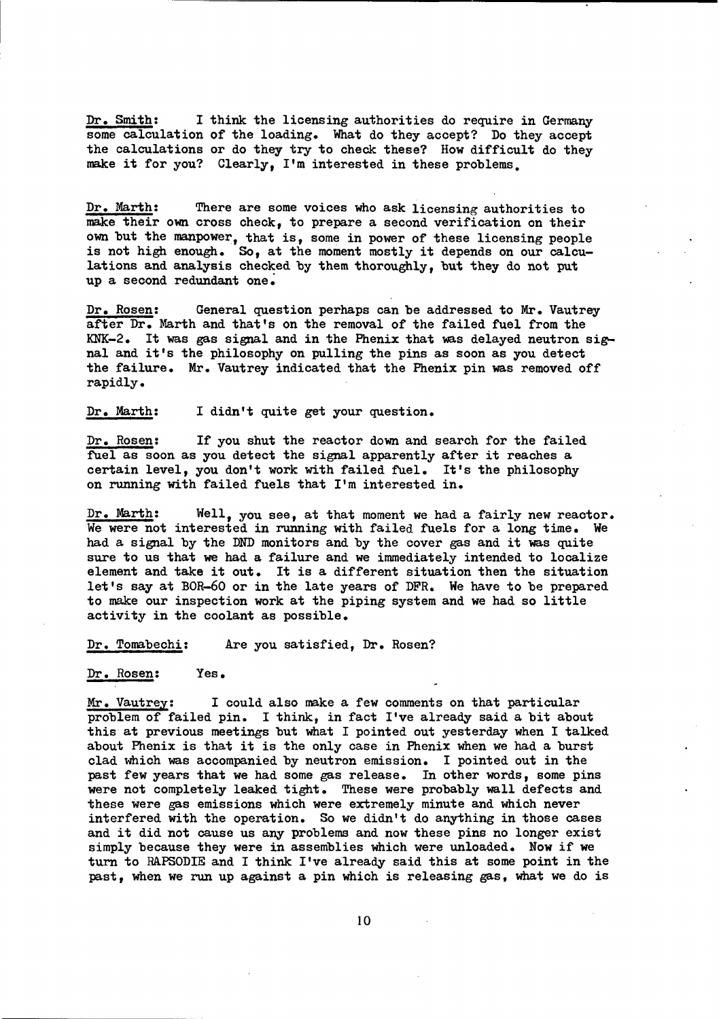Dr. Smith: I think the licensing authorities do require in Germany some calculation of the loading. What do they accept? Do they accept the calculations or do they try to check these? How difficult do they make it for you? Clearly, I'm interested in these problems.

Dr. Marth: There are some voices who ask licensing authorities to make their own cross check, to prepare a second verification on their own but the manpower, that is, some in power of these licensing people is not high enough. So, at the moment mostly it depends on our calculations and analysis checked by them thoroughly, but they do not put up a second redundant one.

Dr. Rosen: General question perhaps can be addressed to Mr. Vautrey after Dr. Marth and that's on the removal of the failed fuel from the KNK-2. It was gas signal and in the Phenix that was delayed neutron signal and it's the philosophy on pulling the pins as soon as you detect the failure. Mr. Vautrey indicated that the Phenix pin was removed off rapidly.

Dr. Marth: I didn't quite get your question.

Dr. Rosen: If you shut the reactor down and search for the failed fuel as soon as you detect the signal apparently after it reaches a certain level, you don't work with failed fuel. It's the philosophy on running with failed fuels that I'm interested in.

 $Dr.$  M arth: Well, you see, at that moment we had a fairly new reactor. We were not interested in running with failed fuels for a long time. We had a signal by the DND monitors and by the cover gas and it was quite sure to us that we had a failure and we immediately intended to localize element and take it out. It is a different situation then the situation let's say at BOR-60 or in the late years of DFR. We have to be prepared to make our inspection work at the piping system and we had so little activity in the coolant as possible.

Dr. Tomabechi: Are you satisfied, Dr. Rosen?

Dr. Rosen: Yes.

Mr. Vautrey: I could also make a few comments on that particular problem of failed pin. I think, in fact I've already said a bit about this at previous meetings but what I pointed out yesterday when I talked about Phenix is that it is the only case in Phenix when we had a burst clad which was accompanied by neutron emission. I pointed out in the past few years that we had some gas release. In other words, some pins were not completely leaked tight. These were probably wall defects and these were gas emissions which were extremely minute and which never interfered with the operation. So we didn't do anything in those cases and it did not cause us any problems and now these pins no longer exist simply because they were in assemblies which were unloaded. Now if we turn to RAPSODIE and I think I've already said this at some point in the past, when we run up against a pin which is releasing gas, what we do is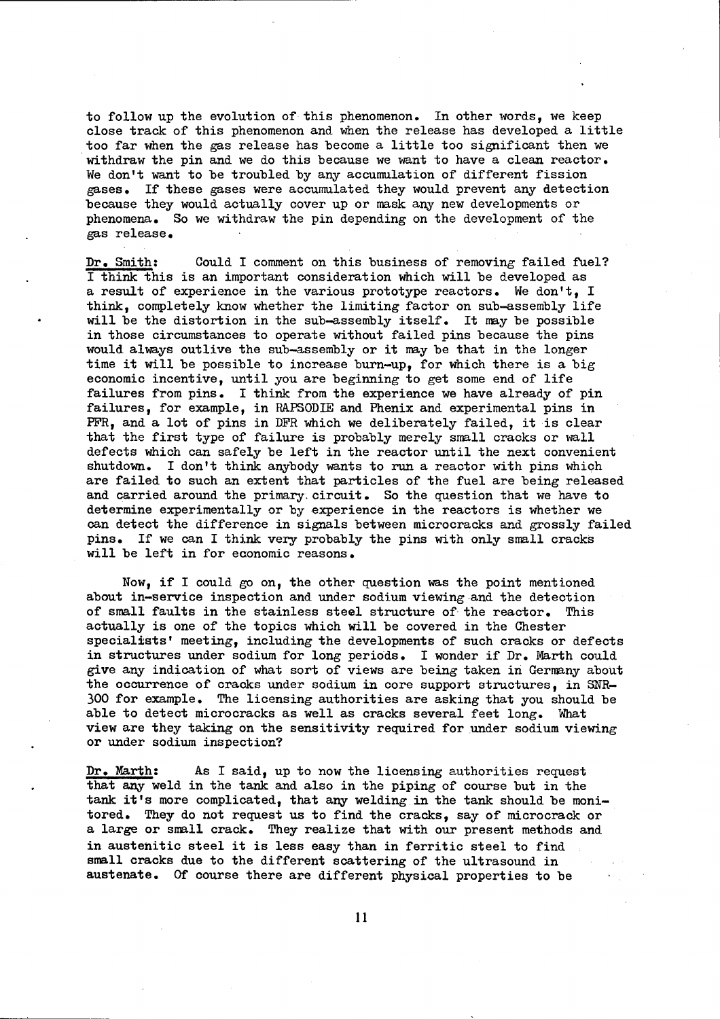to follow up the evolution of this phenomenon. In other words, we keep close track of this phenomenon and when the release has developed a little too far when the gas release has become a little too significant then we withdraw the pin and we do this because we want to have a clean reactor. We don't want to be troubled by any accumulation of different fission gases. If these gases were accumulated they would prevent any detection because they would actually cover up or mask any new developments or phenomena. So we withdraw the pin depending on the development of the gas release.

Dr. Smith: Could I comment on this business of removing failed fuel? I think this is an important consideration which will be developed as a result of experience in the various prototype reactors. We don't, I think, completely know whether the limiting factor on sub-assembly life will be the distortion in the sub-assembly itself. It may be possible in those circumstances to operate without failed pins because the pins would always outlive the sub-assembly or it may be that in the longer time it will be possible to increase burn-up, for which there is a big economic incentive, until you are beginning to get some end of life failures from pins. I think from the experience we have already of pin failures, for example, in RAPSODIE and Phenix and experimental pins in  $PFR$ , and a lot of pins in DFR which we deliberately failed, it is clear that the first type of failure is probably merely small cracks or wall defects which can safely be left in the reactor until the next convenient shutdown. I don't think anybody wants to run a reactor with pins which are failed to such an extent that particles of the fuel are being released and carried around the primary circuit. So the question that we have to determine experimentally or by experience in the reactors is whether we can detect the difference in signals between microcracks and grossly failed pins. If we can I think very probably the pins with only small cracks will be left in for economic reasons.

Now, if I could go on, the other question was the point mentioned about in-service inspection and under sodium viewing and the detection of small faults in the stainless steel structure of the reactor. This actually is one of the topics which will be covered in the Chester specialists' meeting, including the developments of such cracks or defects in structures under sodium for long periods. I wonder if Dr. Marth could give any indication of what sort of views are being taken in Germany about the occurrence of cracks under sodium in core support structures, in SNR-300 for example. The licensing authorities are asking that you should be able to detect microcracks as well as cracks several feet long. What view are they taking on the sensitivity required for under sodium viewing or under sodium inspection?

Dr. Marth: As I said, up to now the licensing authorities request that any weld in the tank and also in the piping of course but in the tank it's more complicated, that any welding in the tank should be monitored. They do not request us to find the cracks, say of microcrack or a large or small crack. They realize that with our present methods and in austenitic steel it is less easy than in ferritic steel to find small cracks due to the different scattering of the ultrasound in austenate. Of course there are different physical properties to be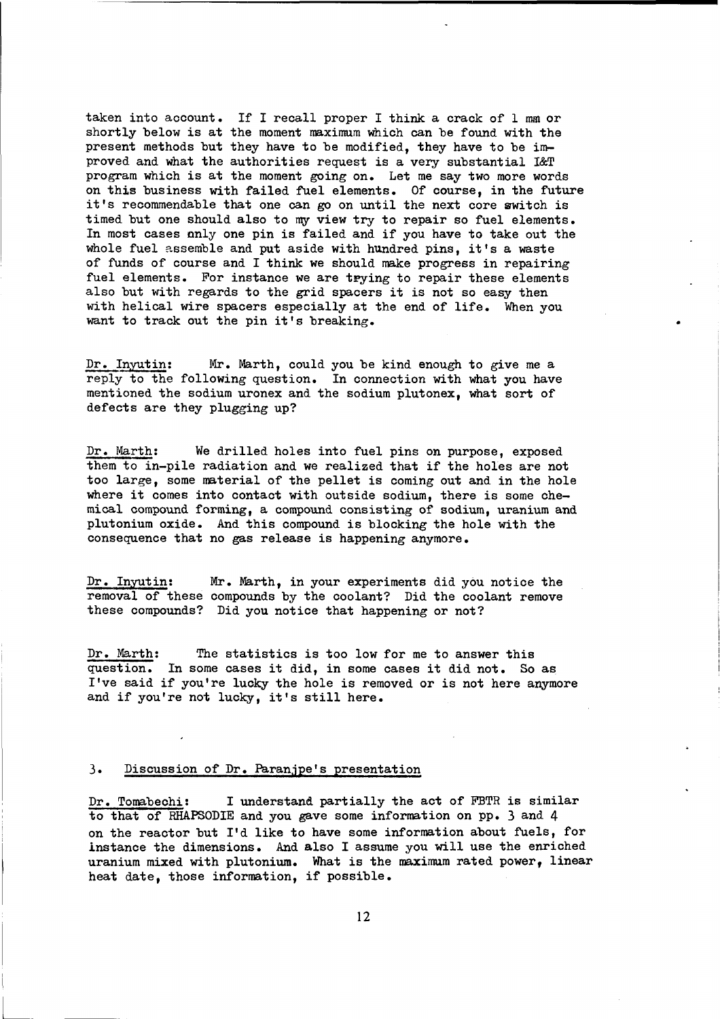taken into account. If I recall proper I think a crack of 1 mm or shortly below is at the moment maximum which can be found with the present methods but they have to be modified, they have to be improved and what the authorities request is a very substantial I&T program which is at the moment going on. Let me say two more words on this business with failed fuel elements. Of course, in the future it's recommendable that one can go on until the next core switch is timed but one should also to my view try to repair so fuel elements. In most cases only one pin is failed and if you have to take out the whole fuel assemble and put aside with hundred pins, it's a waste of funds of course and I think we should make progress in repairing fuel elements. For instance we are trying to repair these elements also but with regards to the grid spacers it is not so easy then with helical wire spacers especially at the end of life. When you want to track out the pin it's breaking.

Dr. Inyutin: Mr. Marth, could you be kind enough to give me a reply to the following question. In connection with what you have mentioned the sodium uronex and the sodium plutonex, what sort of defects are they plugging up?

Dr. Marth: We drilled holes into fuel pins on purpose, exposed them to in-pile radiation and we realized that if the holes are not too large, some material of the pellet is coming out and in the hole where it comes into contact with outside sodium, there is some chemical compound forming, a compound consisting of sodium, uranium and plutonium oxide. And this compound is blocking the hole with the consequence that no gas release is happening anymore.

Dr. Inyutin: Mr. Marth, in your experiments did you notice the removal of these compounds by the coolant? Did the coolant remove these compounds? Did you notice that happening or not?

Dr. Marth: The statistics is too low for me to answer this question. In some cases it did, in some cases it did not. So as I've said if you're lucky the hole is removed or is not here anymore and if you're not lucky, it's still here.

## 3. Discussion of Dr. Paranjpe's presentation

Dr. Tomabechi: I understand partially the act of FBTR is similar to that of RHAPSODIE and you gave some information on pp. 3 and 4 on the reactor but I'd like to have some information about fuels, for instance the dimensions. And also I assume you will use the enriched uranium mixed with plutonium. What is the maximum rated power, linear heat date, those information, if possible.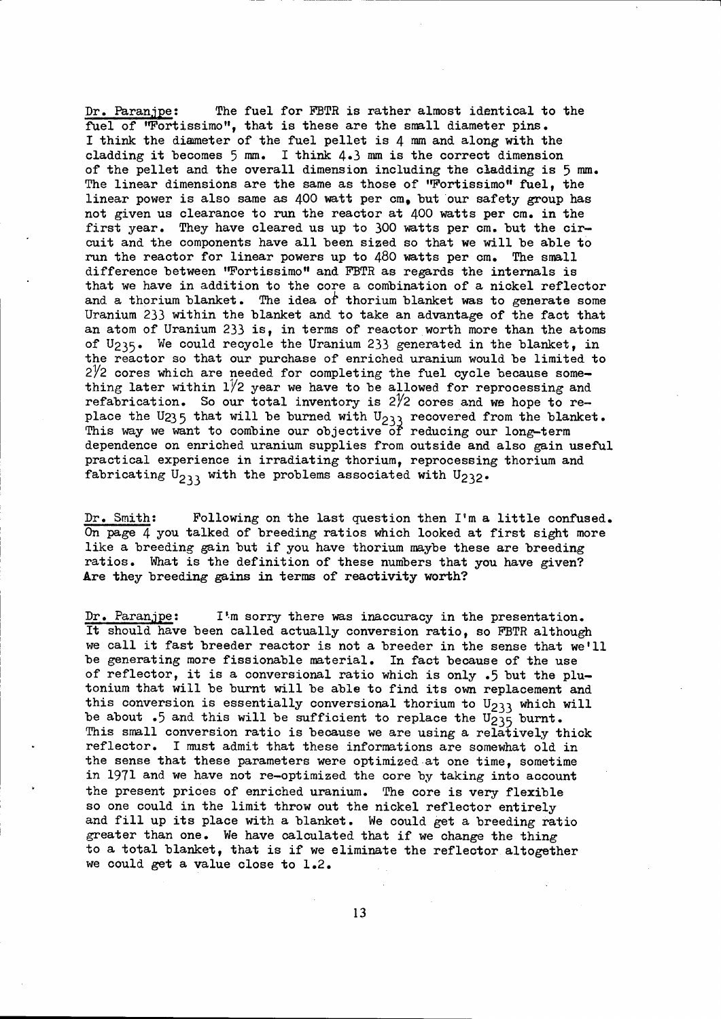Dr. Paran.jpe: The fuel for FBTR is rather almost identical to the fuel of "Fortissimo", that is these are the small diameter pins. I think the diameter of the fuel pellet is  $4$  mm and along with the cladding it becomes  $5 \text{ mm}$ . I think  $4.3 \text{ mm}$  is the correct dimension of the pellet and the overall dimension including the cladding is 5 mm. The linear dimensions are the same as those of "Fortissimo" fuel, the linear power is also same as 400 watt per cm, but our safety group has not given us clearance to run the reactor at 400 watts per cm. in the first year. They have cleared us up to 300 watts per cm. but the circuit and the components have all been sized so that we will be able to run the reactor for linear powers up to 480 watts per cm. The small difference between "Fortissimo" and FBTR as regards the internals is that we have in addition to the core a combination of a nickel reflector and a thorium blanket. The idea of thorium blanket was to generate some Uranium 233 within the blanket and to take an advantage of the fact that an atom of Uranium 233 is, in terms of reactor worth more than the atoms of U<sub>235</sub>. We could recycle the Uranium 233 generated in the blanket, in the reactor so that our purchase of enriched uranium would be limited to 2У2 cores which are needed for completing the fuel cycle because something later within  $1/2$  year we have to be allowed for reprocessing and refabrication. So our total inventory is  $2\frac{1}{2}$  cores and we hope to replace the U235 that will be burned with U<sub>233</sub> recovered from the blanket. This way we want to combine our objective of reducing our long-term dependence on enriched uranium supplies from outside and also gain useful practical experience in irradiating thorium, reprocessing thorium and fabricating  $U_{233}$  with the problems associated with  $U_{232}$ .

Dr. Smith: Following on the last question then I'm a little confused. On page 4 you talked of breeding ratios which looked at first sight more like a breeding gain but if you have thorium maybe these are breeding ratios. What is the definition of these numbers that you have given? Are they breeding gains in terms of reactivity worth?

Dr. Paranjpe: I'm sorry there was inaccuracy in the presentation. It should have been called actually conversion ratio, so FBTR although we call it fast breeder reactor is not a breeder in the sense that we'll be generating more fissionable material. In fact because of the use of reflector, it is a conversional ratio which is only .5 but the plutonium that will be burnt will be able to find its own replacement and this conversion is essentially conversional thorium to  $U_{233}$  which will be about .5 and this will be sufficient to replace the U<sub>235</sub> burnt. This small conversion ratio is because we are using a relatively thick reflector. I must admit that these informations are somewhat old in the sense that these parameters were optimized at one time, sometime in 1971 and we have not re-optimized the core by taking into account the present prices of enriched uranium. The core is very flexible so one could in the limit throw out the nickel reflector entirely and fill up its place with a blanket. We could get a breeding ratio greater than one. We have calculated that if we change the thing to a total blanket, that is if we eliminate the reflector altogether we could get a value close to 1.2.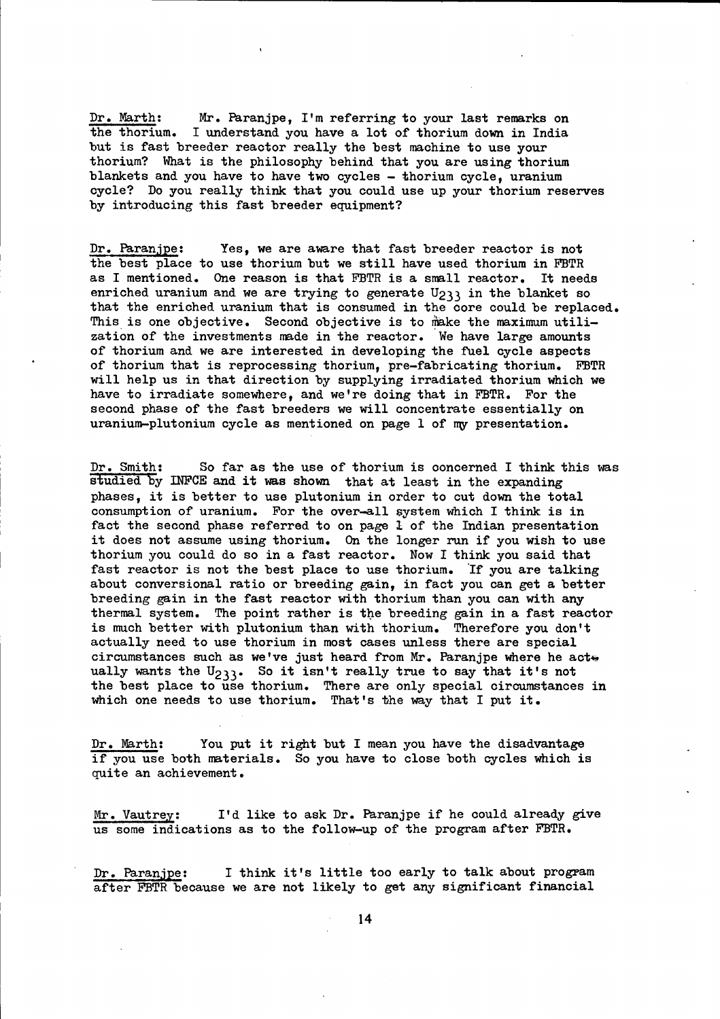Dr. Marth: Mr. Paranjpe, I'm referring to your last remarks on the thorium. I understand you have a lot of thorium down in India but is fast breeder reactor really the best machine to use your thorium? What is the philosophy behind that you are using thorium blankets and you have to have two cycles - thorium cycle, uranium cycle? Do you really think that you could use up your thorium reserves by introducing this fast breeder equipment?

Dr. Paranjpe: Yes, we are aware that fast breeder reactor is not the best place to use thorium but we still have used thorium in FBTR as I mentioned. One reason is that FBTR is a small reactor. It needs enriched uranium and we are trying to generate  $U_2$ 33 in the blanket so that the enriched uranium that is consumed in the core could be replaced. This is one objective. Second objective is to make the maximum utilization of the investments made in the reactor. We have large amounts of thorium and we are interested in developing the fuel cycle aspects of thorium that is reprocessing thorium, pre-fabricating thorium. FBTR will help us in that direction by supplying irradiated thorium which we have to irradiate somewhere, and we're doing that in FBTR. For the second phase of the fast breeders we will concentrate essentially on uranium-plutonium cycle as mentioned on page 1 of my presentation.

Dr. Smith: So far as the use of thorium is concerned I think this was studied by INFCE and it was shown that at least in the expanding phases, it is better to use plutonium in order to cut down the total consumption of uranium. For the over-all system which I think is in fact the second phase referred to on page 1 of the Indian presentation it does not assume using thorium. On the longer run if you wish to use thorium you could do so in a fast reactor. Now I think you said that fast reactor is not the best place to use thorium. If you are talking about conversional ratio or breeding gain, in fact you can get a better breeding gain in the fast reactor with thorium than you can with any thermal system. The point rather is the breeding gain in a fast reactor is much better with plutonium than with thorium. Therefore you don't actually need to use thorium in most cases unless there are special circumstances such as we've just heard from Mr. Paranjpe where he act. ually wants the U<sub>233</sub>. So it isn't really true to say that it's not the best place to use thorium. There are only special circumstances in which one needs to use thorium. That's the way that I put it.

 $Dr.$  Marth: You put it right but I mean you have the disadvantage if you use both materials. So you have to close both cycles which is quite an achievement.

Mr. Vautrey: I'd like to ask Dr. Paranjpe if he could already give us some indications as to the follow-up of the program after FBTR.

Dr. Paranjpe: I think it's little too early to talk about program after FBTR because we are not likely to get any significant financial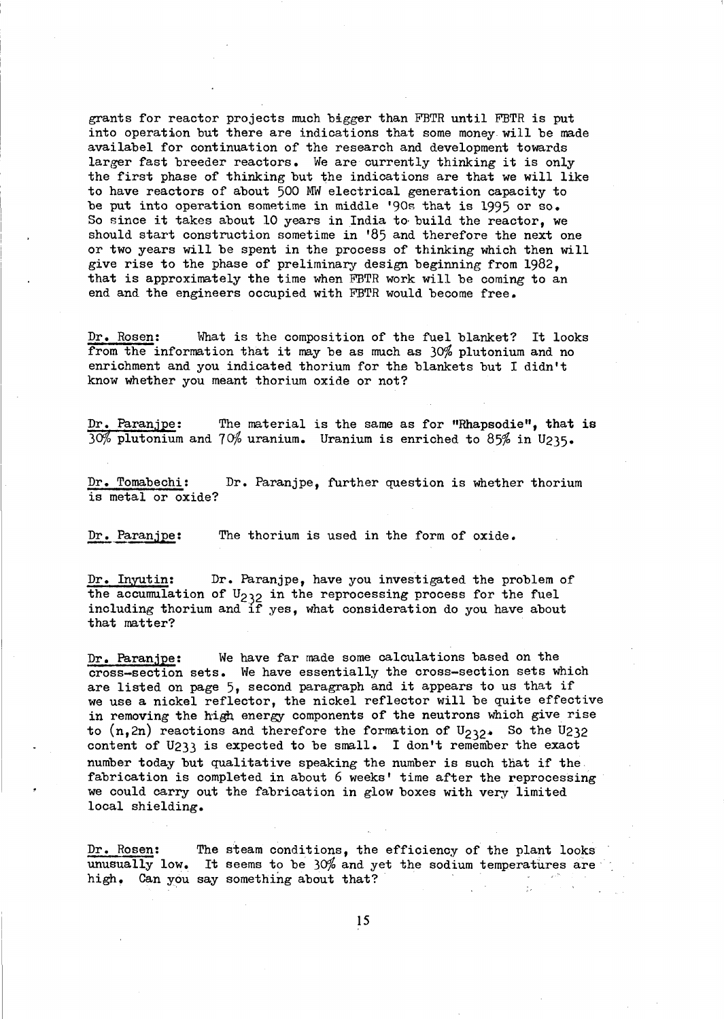grants for reactor projects much bigger than FBTR until FBTR is put into operation but there are indications that some money will be made availabel for continuation of the research and development towards larger fast breeder reactors. We are currently thinking it is only the first phase of thinking but the indications are that we will like to have reactors of about 500 MW electrical generation capacity to be put into operation sometime in middle '90s that is 1995 or so. So since it takes about 10 years in India to build the reactor, we should start construction sometime in  $'85$  and therefore the next one or two years will be spent in the process of thinking which then will give rise to the phase of preliminary design beginning from 1982, that is approximately the time when FBTR work will be coming to an end and the engineers occupied with FBTR would become free.

Dr. Rosen: What is the composition of the fuel blanket? It looks from the information that it may be as much as 30% plutonium and no enrichment and you indicated thorium for the blankets but I didn't know whether you meant thorium oxide or not?

 $Dr.$  Paran.jpe: The material is the same as for "Rhapsodie", that is  $30\%$  plutonium and  $70\%$  uranium. Uranium is enriched to 85% in U235.

Dr. Tomabechi: Dr. Paranjpe, further question is whether thorium is metal or oxide?

 $Dr.$  Paranjpe: The thorium is used in the form of oxide.

Dr. Inyutin: Dr. Paranjpe, have you investigated the problem of the accumulation of  $U_{232}$  in the reprocessing process for the fuel including thorium and if yes, what consideration do you have about that matter?

Dr. Paranjpe: We have far made some calculations based on the cross-section sets. We have essentially the cross-section sets which are listed on page 5, second paragraph and it appears to us that if we use a nickel reflector, the nickel reflector will be quite effective in removing the high energy components of the neutrons which give rise to  $(n, 2n)$  reactions and therefore the formation of U<sub>232</sub>. So the U<sub>232</sub> content of U233 is expected to be small. I don't remember the exact number today but qualitative speaking the number is such that if the fabrication is completed in about 6 weeks' time after the reprocessing we could carry out the fabrication in glow boxes with very limited local shielding.

Dr. Rosen: The steam conditions, the efficiency of the plant looks unusually low. It seems to be 30% and yet the sodium temperatures are high. Can you say something about that?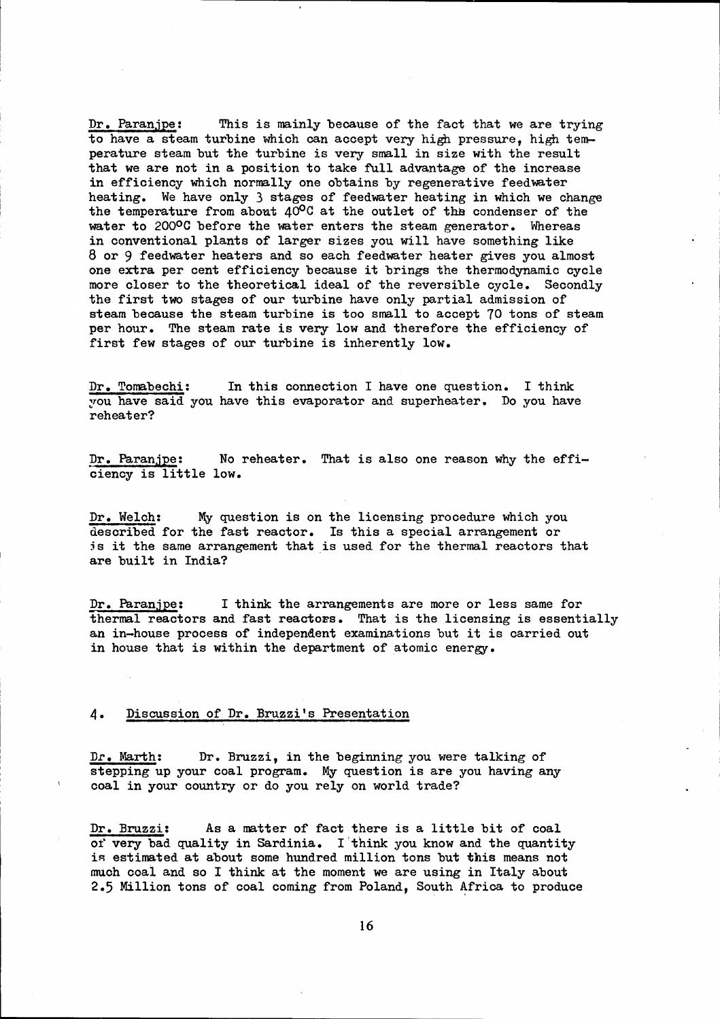Dr. Paran.jpe: This is mainly because of the fact that we are trying to have a steam turbine which can accept very high pressure, high temperature steam but the turbine is very small in size with the result that we are not in a position to take full advantage of the increase in efficiency which normally one obtains by regenerative feedwater heating. We have only 3 stages of feedwater heating in which we change the temperature from about  $40^{\circ}$ C at the outlet of the condenser of the water to 200°C before the water enters the steam generator. Whereas in conventional plants of larger sizes you will have something like 8 or 9 feedwater heaters and so each feedwater heater gives you almost one extra per cent efficiency because it brings the thermodynamic cycle more closer to the theoretical ideal of the reversible cycle. Secondly the first two stages of our turbine have only partial admission of steam because the steam turbine is too small to accept 70 tons of steam per hour. The steam rate is very low and therefore the efficiency of first few stages of our turbine is inherently low.

 $Dr.$  Tomabechi: In this connection I have one question. I think you have said you have this evaporator and superheater. Do you have reheater?

Dr. Paran.jpe: No reheater. That is also one reason why the efficiency is little low.

Dr. Welch: My question is on the licensing procedure which you described for the fast reactor. Is this a special arrangement or is it the same arrangement that is used for the thermal reactors that are built in India?

Dr. Paranjpe: I think the arrangements are more or less same for thermal reactors and fast reactors. That is the licensing is essentially an in-house process of independent examinations but it is carried out in house that is within the department of atomic energy.

#### 4. Discussion of Dr. Bruzzi's Presentation

Dr. Marth: Dr. Bruzzi, in the beginning you were talking of stepping up your coal program. My question is are you having any coal in your country or do you rely on world trade?

Dr. Bruzzi: As a matter of fact there is a little bit of coal of very bad quality in Sardinia. I think you know and the quantity is estimated at about some hundred million tons but this means not much coal and so I think at the moment we are using in Italy about 2.5 Million tons of coal coming from Poland, South Africa to produce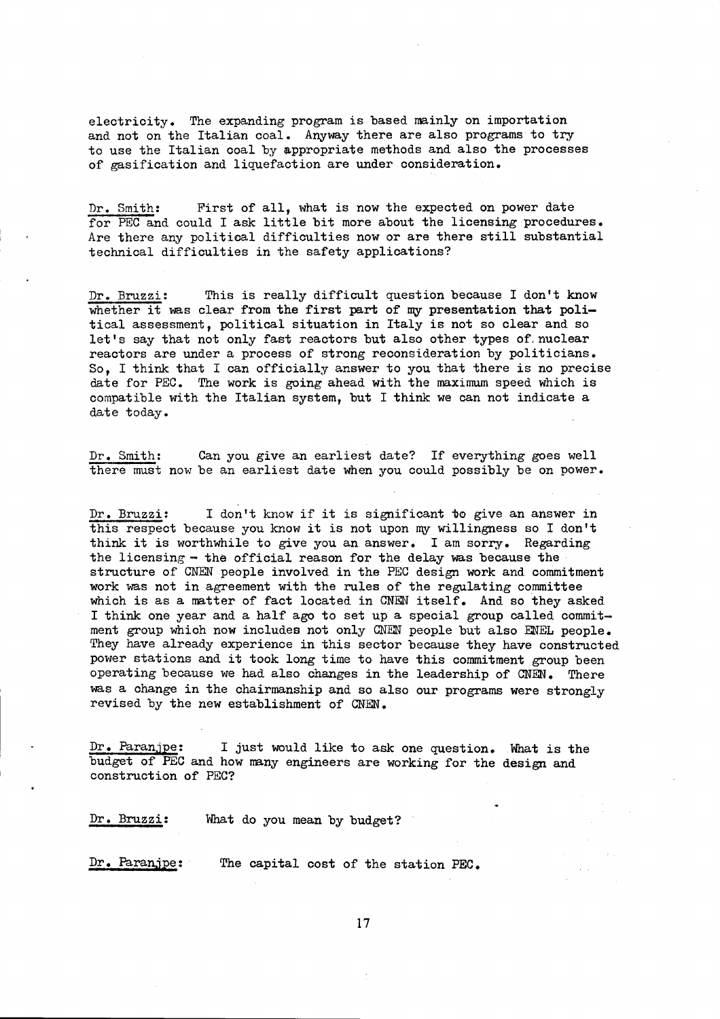electricity. The expanding program is based mainly on importation and not on the Italian coal. Anyway there are also programs to try to use the Italian coal by appropriate methods and also the processes of gasification and liquefaction are under consideration.

Dr. Smith: First of all, what is now the expected on power date for PEC and could I ask little bit more about the licensing procedures. Are there any political difficulties now or are there still substantial technical difficulties in the safety applications?

Dr. Bruzzi: This is really difficult question because I don't know whether it was clear from the first part of my presentation that political assessment, political situation in Italy is not so clear and so let's say that not only fast reactors but also other types of, nuclear reactors are under a process of strong reconsideration by politicians. So. I think that I can officially answer to you that there is no precise date for PEC. The work is going ahead with the maximum speed which is compatible with the Italian system, but I think we can not indicate a date today.

Dr. Smith: Can you give an earliest date? If everything goes well there must now be an earliest date when you could possibly be on power.

 $Dr.$  Bruzzi: I don't know if it is significant to give an answer in this respect because you know it is not upon my willingness so I don't think it is worthwhile to give you an answer. I am sorry. Regarding the licensing  $-$  the official reason for the delay was because the structure of CNEN people involved in the PEC design work and commitment work was not in agreement with the rules of the regulating committee which is as a matter of fact located in CNEW itself. And so they asked I think one year and a half ago to set up a special group called commitment group which now includes not only GNEN people but also ENEL people. They have already experience in this sector because they have constructed power stations and it took long time to have this commitment group been operating because we had also changes in the leadership of CNEN. There was a change in the chairmanship and so also our programs were strongly revised by the new establishment of CNEN.

 $Dr_{\bullet}$  Paran.jpe: I just would like to ask one question. What is the budget of PEC and how many engineers are working for the design and construction of PEC?

Dr. Bruzzi: What do you mean by budget?

Dr. Paranjpe: The capital cost of the station PEC.

1 7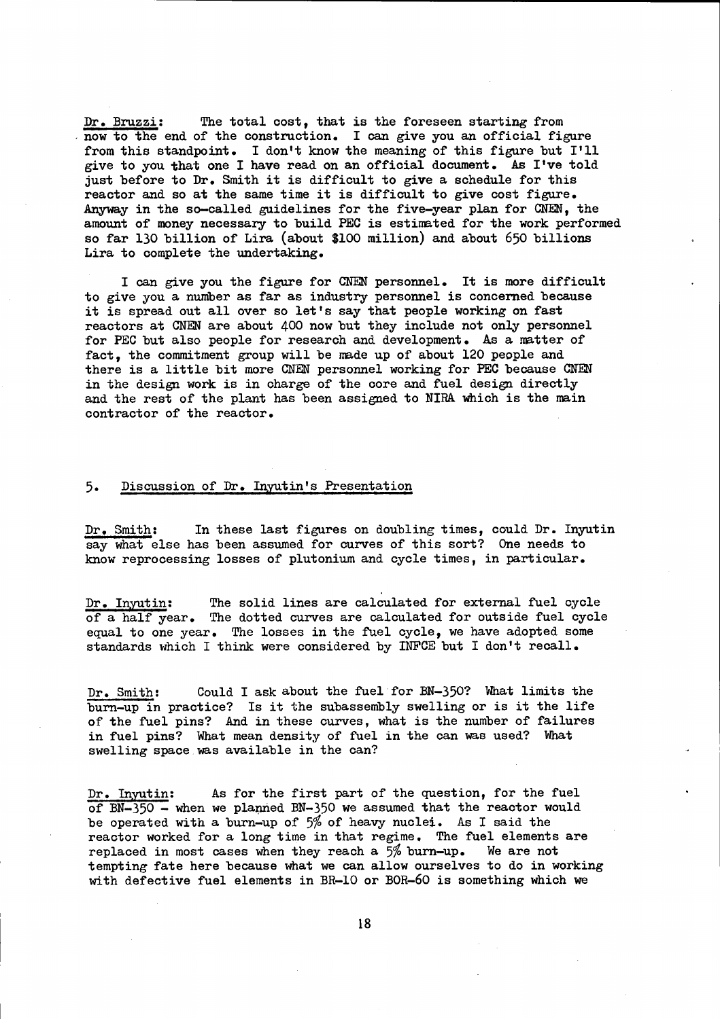Dr. Bruzzi: The total cost, that is the foreseen starting from now to the end of the construction. I can give you an official figure from this standpoint. I don't know the meaning of this figure but I'll give to you that one I have read on an official document. As I've told just before to Dr. Smith it is difficult to give a schedule for this reactor and so at the same time it is difficult to give cost figure. Anyway in the so-called guidelines for the five-year plan for CNEN, the amount of money necessary to build PEC is estimated for the work performed so far 130 billion of Lira (about \$100 million) and about 650 billions Lira to complete the undertaking.

I can give you the figure for CNEN personnel. It is more difficult to give you a number as far as industry personnel is concerned because it is spread out all over so let's say that people working on fast reactors at CNEN are about 400 now but they include not only personnel for PEC but also people for research and development. As a matter of fact, the commitment group will be made up of about 120 people and there is a little bit more CNEN personnel working for PEC because CNEN in the design work is in charge of the core and fuel design directly and the rest of the plant has been assigned to NIRA which is the main contractor of the reactor.

#### 5. Discussion of Dr. Inyutin's Presentation

Dr. Smith: In these last figures on doubling times, could Dr. Inyutin say what else has been assumed for curves of this sort? One needs to know reprocessing losses of plutonium and cycle times, in particular.

Dr. Inyutin: The solid lines are calculated for external fuel cycle of a half year. The dotted curves are calculated for outside fuel cycle equal to one year. The losses in the fuel cycle, we have adopted some standards which I think were considered by INFCE but I don't recall.

Dr. Smith: Could I ask about the fuel for BN-350? What limits the burn-up in practice? Is it the subassembly swelling or is it the life of the fuel pins? And in these curves, what is the number of failures in fuel pins? What mean density of fuel in the can was used? What swelling space was available in the can?

Dr. Invutin: As for the first part of the question, for the fuel of  $BN-350$  - when we planned  $BN-350$  we assumed that the reactor would be operated with a burn-up of 5% of heavy nuclei. As I said the reactor worked for a long time in that regime. The fuel elements are replaced in most cases when they reach a  $\frac{5}{6}$  burn-up. We are not tempting fate here because what we can allow ourselves to do in working with defective fuel elements in BR-10 or BOR-60 is something which we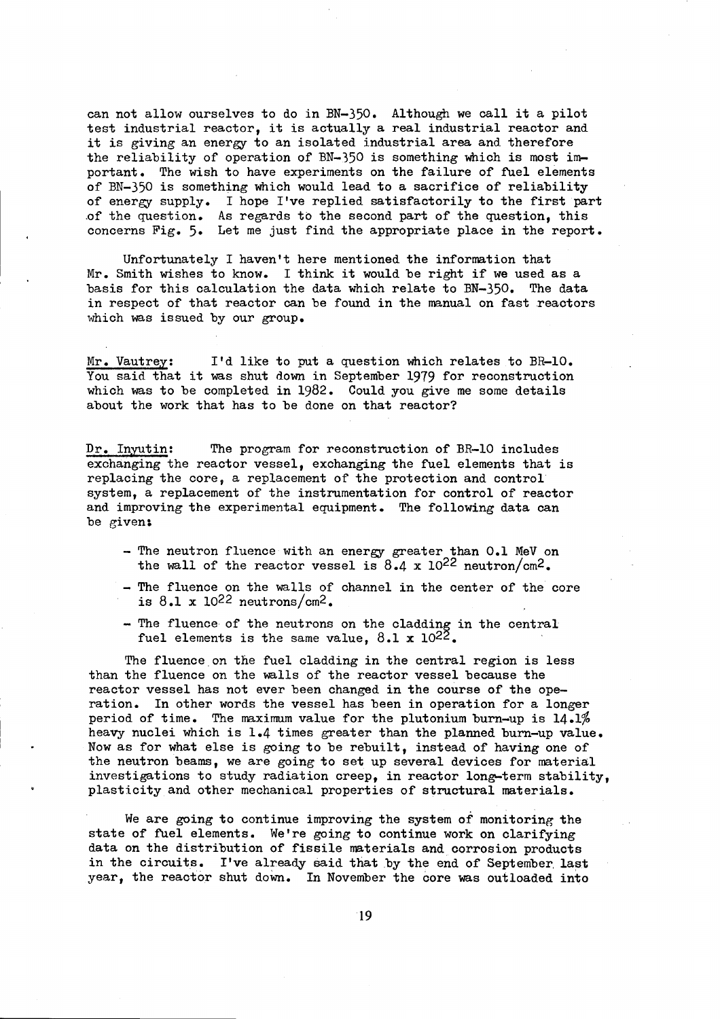can not allow ourselves to do in BN-350. Although we call it a pilot test industrial reactor, it is actually a real industrial reactor and it is giving an energy to an isolated industrial area and therefore the reliability of operation of BN-350 is something which is most important. The wish to have experiments on the failure of fuel elements of BN-350 is something which would lead to a sacrifice of reliability of energy supply. I hope I've replied satisfactorily to the first part of the question. As regards to the second part of the question, this concerns Fig. 5. Let me just find the appropriate place in the report.

Unfortunately I haven't here mentioned the information that Mr. Smith wishes to know. I think it would be right if we used as a basis for this calculation the data which relate to BN-350. The data in respect of that reactor can be found in the manual on fast reactors which was issued by our group.

Mr. Vautrey: I'd like to put a question which relates to  $BR-10$ . You said that it was shut down in September 1979 for reconstruction which was to be completed in  $1982$ . Could you give me some details about the work that has to be done on that reactor?

Dr. Inyutin: The program for reconstruction of BR-10 includes exchanging the reactor vessel, exchanging the fuel elements that is replacing the core, a replacement of the protection and control system, a replacement of the instrumentation for control of reactor and improving the experimental equipment. The following data can be given:

- The neutron fluence with an energy greater than 0.1 MeV on the wall of the reactor vessel is  $8.4 \times 10^{22}$  neutron/cm<sup>2</sup>.
- The fluence on the walls of channel in the center of the core is  $8.1 \times 10^{22}$  neutrons/cm<sup>2</sup>.
- The fluence of the neutrons on the cladding in the central fuel elements is the same value,  $8.1 \times 10^{22}$ .

The fluence on the fuel cladding in the central region is less than the fluence on the walls of the reactor vessel because the reactor vessel has not ever been changed in the course of the operation. In other words the vessel has been in operation for a longer period of time. The maximum value for the plutonium burn-up is  $14.1\%$ heavy nuclei which is 1.4 times greater than the planned burn-up value. Now as for what else is going to be rebuilt, instead of having one of the neutron beams, we are going to set up several devices for material investigations to study radiation creep, in reactor long-term stability, plasticity and other mechanical properties of structural materials.

We are going to continue improving the system of monitoring the state of fuel elements. We're going to continue work on clarifying data on the distribution of fissile materials and corrosion products in the circuits. I've already said that by the end of September last year, the reactor shut down. In November the core was outloaded into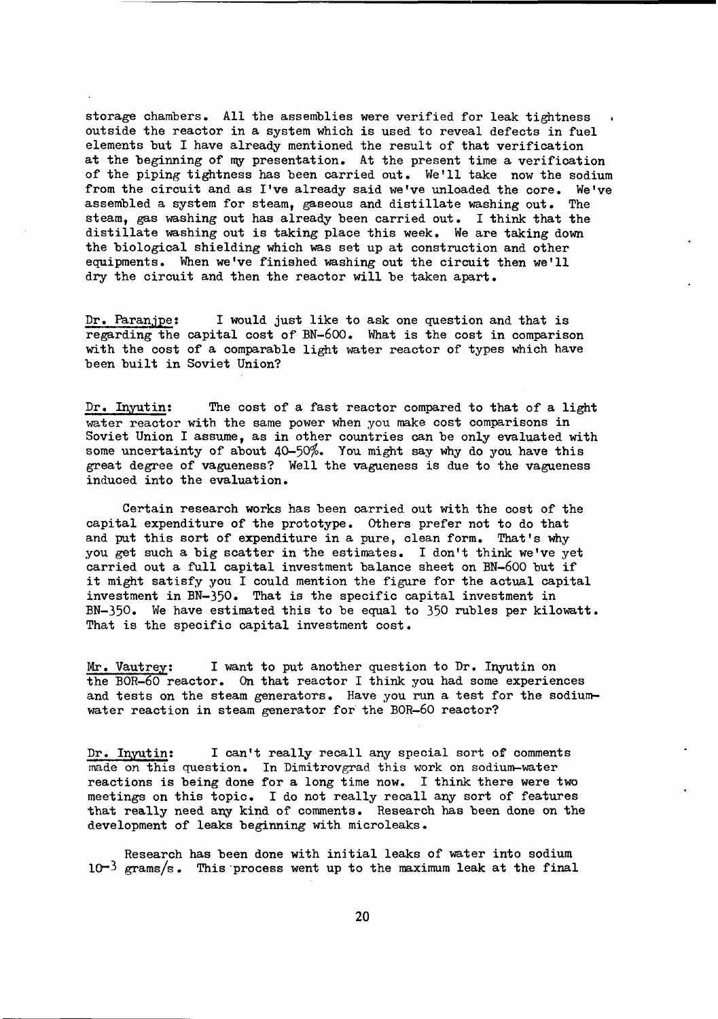storage chambers. All the assemblies were verified for leak tightness outside the reactor in a system which is used to reveal defects in fuel elements but I have already mentioned the result of that verification at the beginning of my presentation. At the present time a verification of the piping tightness has been carried out. We'll take now the sodium from the circuit and as I've already said we've unloaded the core. We've assembled a system for steam, gaseous and distillate washing out. The steam, gas washing out has already been carried out. I think that the distillate washing out is taking place this week. We are taking down the biological shielding which was set up at construction and other equipments. When we've finished washing out the circuit then we'll dry the circuit and then the reactor will be taken apart.

Dr. Paran.jpe: I would just like to ask one question and that is regarding the capital cost of BN-600. What is the cost in comparison with the cost of a comparable light water reactor of types which have been built in Soviet Union?

Dr. Invutin: The cost of a fast reactor compared to that of a light water reactor with the same power when you make cost comparisons in Soviet Union I assume, as in other countries can be only evaluated with some uncertainty of about  $40-50\%$ . You might say why do you have this great degree of vagueness? Well the vagueness is due to the vagueness induced into the evaluation.

Certain research works has been carried out with the cost of the capital expenditure of the prototype. Others prefer not to do that and put this sort of expenditure in a pure, clean form. That's why you get such a big scatter in the estimates. I don't think we've yet carried out a full capital investment balance sheet on BN-600 but if it might satisfy you I could mention the figure for the actual capital investment in BN-350. That is the specific capital investment in BN $-350$ . We have estimated this to be equal to  $350$  rubles per kilowatt. That is the specific capital investment cost.

 $Mr.$  Vautrey: I want to put another question to Dr. Inyutin on the BOR-60 reactor. On that reactor I think you had some experiences and tests on the steam generators. Have you run a test for the sodiumwater reaction in steam generator for the BOR-60 reactor?

Dr. Invutin: I can't really recall any special sort of comments made on this question. In Dimitrovgrad this work on sodium-water reactions is being done for a long time now. I think there were two meetings on this topic. I do not really recall any sort of features that really need any kind of comments. Research has been done on the development of leaks beginning with microleaks.

Research has been done with initial leaks of water into sodium  $10<sup>-3</sup>$  grams/s. This process went up to the maximum leak at the final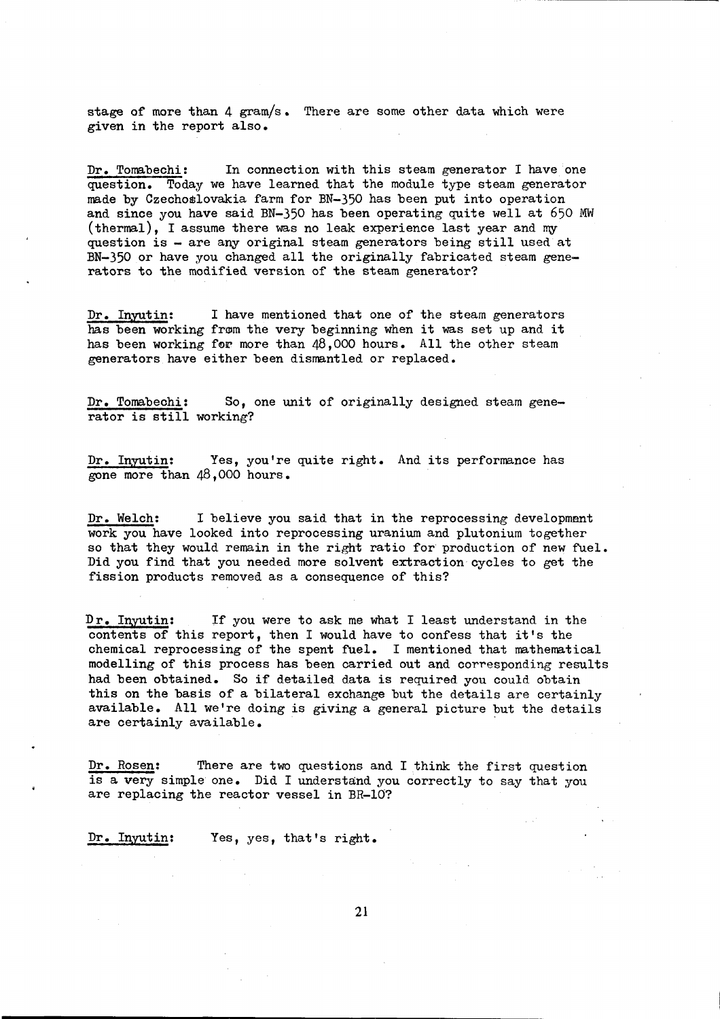stage of more than 4 gram/s. There are some other data which were given in the report also.

Dr. Tomabechi: In connection with this steam generator I have one question. Today we have learned that the module type steam generator made by Czechoslovakia farm for BN-350 has been put into operation and since you have said BN-350 has been operating quite well at 650 MW  $(thermal)$ , I assume there was no leak experience last year and my question is - are any original steam generators being still used at BN-350 or have you changed all the originally fabricated steam generators to the modified version of the steam generator?

Dr. Inyutin: I have mentioned that one of the steam generators has been working from the very beginning when it was set up and it has been working for more than  $48,000$  hours. All the other steam generators have either been dismantled or replaced.

Dr. Tomabechi: So, one unit of originally designed steam generator is still working?

Dr. Inyutin: Yes, you're quite right. And its performance has gone more than  $48,000$  hours.

Dr. Welch: I believe you said that in the reprocessing development work you have looked into reprocessing uranium and plutonium together so that they would remain in the right ratio for production of new fuel. Did you find that you needed more solvent extraction cycles to get the fission products removed as a consequence of this?

Dr. Inyutin: If you were to ask me what I least understand in the contents of this report, then I would have to confess that it's the chemical reprocessing of the spent fuel. I mentioned that mathematical modelling of this process has been carried out and corresponding results had been obtained. So if detailed data is required you could obtain this on the basis of a bilateral exchange but the details are certainly available. All we're doing is giving a general picture but the details are certainly available.

Dr. Rosen: There are two questions and I think the first question is a very simple one. Did I understand you correctly to say that you are replacing the reactor vessel in BR-10?

Dr. Inyutin: Yes, yes, that's right.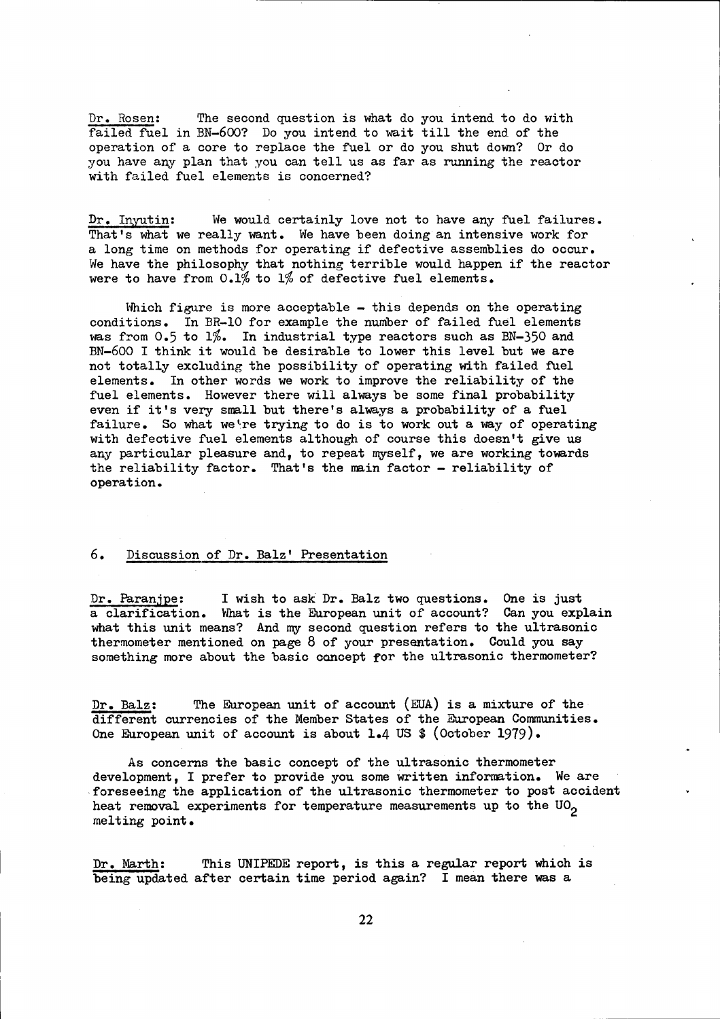Dr. Rosen: The second question is what do you intend to do with failed fuel in BN-600? Do you intend to wait till the end of the operation of a core to replace the fuel or do you shut down? Or do you have any plan that you can tell us as far as running the reactor with failed fuel elements is concerned?

Dr. Invutin: We would certainly love not to have any fuel failures. That's what we really want. We have been doing an intensive work for a long time on methods for operating if defective assemblies do occur. We have the philosophy that nothing terrible would happen if the reactor were to have from 0.1% to 1% of defective fuel elements.

Which figure is more acceptable  $-$  this depends on the operating conditions. In BR-10 for example the number of failed fuel elements was from 0.5 to 1%. In industrial type reactors such as BN-350 and BN-600 I think it would be desirable to lower this level but we are not totally excluding the possibility of operating with failed fuel elements. In other words we work to improve the reliability of the fuel elements. However there will always be some final probability even if it's very small but there's always a probability of a fuel failure. So what we're trying to do is to work out a way of operating with defective fuel elements although of course this doesn't give us any particular pleasure and, to repeat myself, we are working towards the reliability factor. That's the main factor - reliability of operation.

## 6. Discussion of Dr. Balz' Presentation

Dr. Paran.jpe: I wish to ask Dr. Balz two questions. One is just a clarification. What is the European unit of account? Can you explain what this unit means? And my second question refers to the ultrasonic thermometer mentioned on page  $8$  of your presentation. Could you say something more about the basic concept for the ultrasonic thermometer?

Dr. Balz: The European unit of account (EUA) is a mixture of the different currencies of the Member States of the European Communities. One European unit of account is about 1.4 US  $$$  (October 1979).

As concerns the basic concept of the ultrasonic thermometer development, I prefer to provide you some written information. We are foreseeing the application of the ultrasonic thermometer to post accident heat removal experiments for temperature measurements up to the  $UO<sub>o</sub>$ melting point.

Dr. Marth: This UNIPEDE report, is this a regular report which is being updated after certain time period again? I mean there was a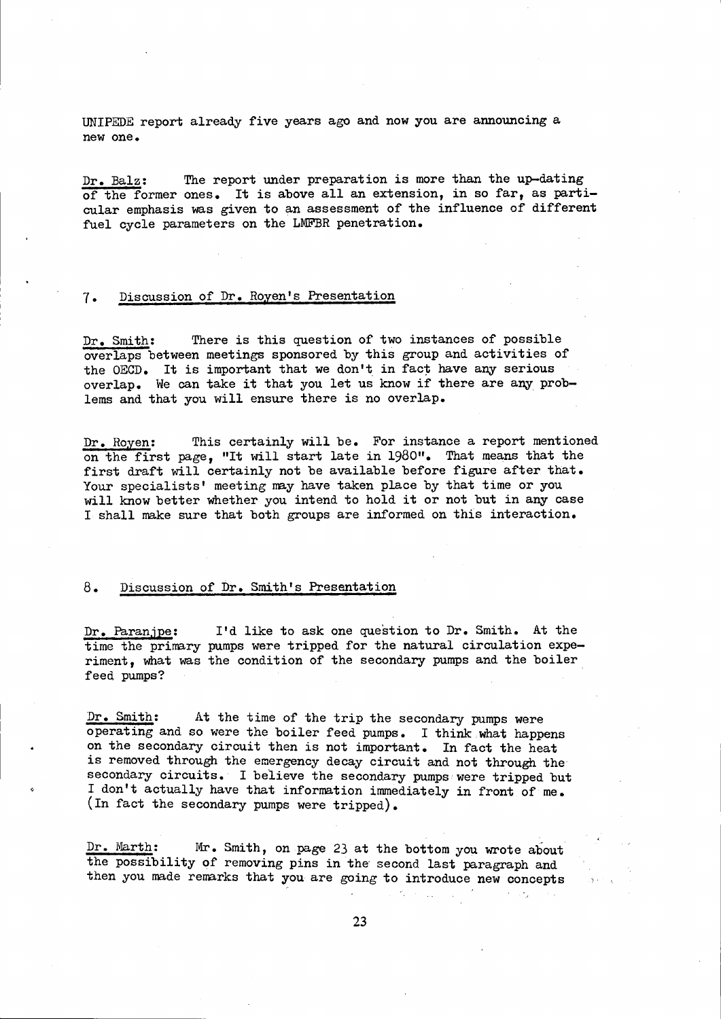UNIPEDE report already five years ago and now you are announcing a new one.

Dr. Balz: The report under preparation is more than the up-dating of the former ones. It is above all an extension, in so far, as particular emphasis was given to an assessment of the influence of different fuel cycle parameters on the LMFBR penetration.

## 7. Discussion of Dr. Royen's Presentation

Dr. Smith: There is this question of two instances of possible overlaps between meetings sponsored by this group and activities of the OECD. It is important that we don't in fact have any serious overlap. We can take it that you let us know if there are any problems and that you will ensure there is no overlap.

Dr. Royen: This certainly will be. For instance a report mentioned on the first page, "It will start late in 1980". That means that the first draft will certainly not be available before figure after that. Your specialists' meeting may have taken place by that time or you will know better whether you intend to hold it or not but in any case I shall make sure that both groups are informed on this interaction.

#### 8. Discussion of Dr. Smith's Presentation

Dr. Paranjpe: I'd like to ask one question to Dr. Smith. At the time the primary pumps were tripped for the natural circulation experiment, what was the condition of the secondary pumps and the boiler feed pumps?

Dr. Smith: At the time of the trip the secondary pumps were operating and so were the boiler feed pumps. I think what happens on the secondary circuit then is not important. In fact the heat is removed through the emergency decay circuit and not through the secondary circuits. I believe the secondary pumps were tripped but I don't actually have that information immediately in front of me. (In fact the secondary pumps were tripped).

Dr. Marth: Mr. Smith, on page 23 at the bottom you wrote about the possibility of removing pins in the second last paragraph and then you made remarks that you are going to introduce new concepts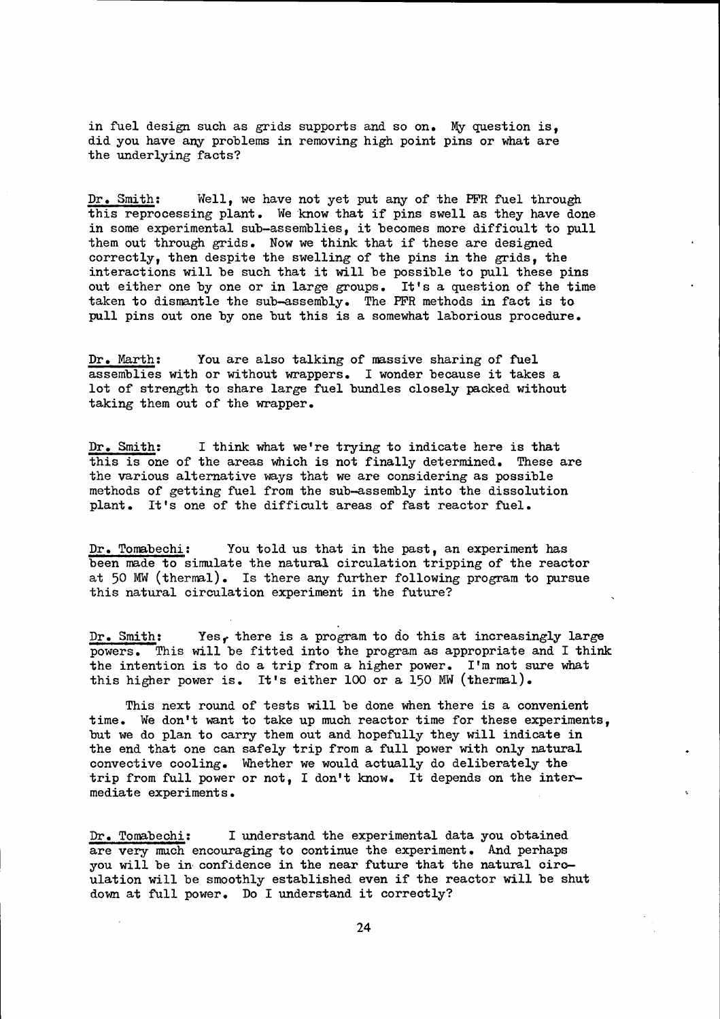in fuel design such as grids supports and so on. My question is. did you have any problems in removing high point pins or what are the underlying facts?

Dr. Smith: Well, we have not yet put any of the PFR fuel through this reprocessing plant. We know that if pins swell as they have done in some experimental sub-assemblies, it becomes more difficult to pull them out through grids. Now we think that if these are designed correctly, then despite the swelling of the pins in the grids, the interactions will be such that it will be possible to pull these pins out either one by one or in large groups. It's a question of the time taken to dismantle the sub-assembly. The PFR methods in fact is to pull pins out one by one but this is a somewhat laborious procedure.

Dr. Marth: You are also talking of massive sharing of fuel assemblies with or without wrappers. I wonder because it takes a lot of strength to share large fuel bundles closely packed without taking them out of the wrapper.

 $Dr_{\bullet}$  Smith: I think what we're trying to indicate here is that this is one of the areas which is not finally determined. These are the various alternative ways that we are considering as possible methods of getting fuel from the sub-assembly into the dissolution plant. It's one of the difficult areas of fast reactor fuel.

Dr. Tomabechi: You told us that in the past, an experiment has been made to simulate the natural circulation tripping of the reactor at 50 MW (thermal). Is there any further following program to pursue this natural circulation experiment in the future?

Dr. Smith: Yes, there is a program to do this at increasingly large powers. This will be fitted into the program as appropriate and I think the intention is to do a trip from a higher power. I'm not sure what this higher power is. It's either 100 or a 150 MW (thermal).

This next round of tests will be done when there is a convenient time. We don't want to take up much reactor time for these experiments, but we do plan to carry them out and hopefully they will indicate in the end that one can safely trip from a full power with only natural convective cooling. Whether we would actually do deliberately the trip from full power or not, I don't know. It depends on the intermediate experiments.

Dr. Tomabechi: I understand the experimental data you obtained are very much encouraging to continue the experiment. And perhaps you will be in confidence in the near future that the natural circulation will be smoothly established even if the reactor will be shut down at full power. Do I understand it correctly?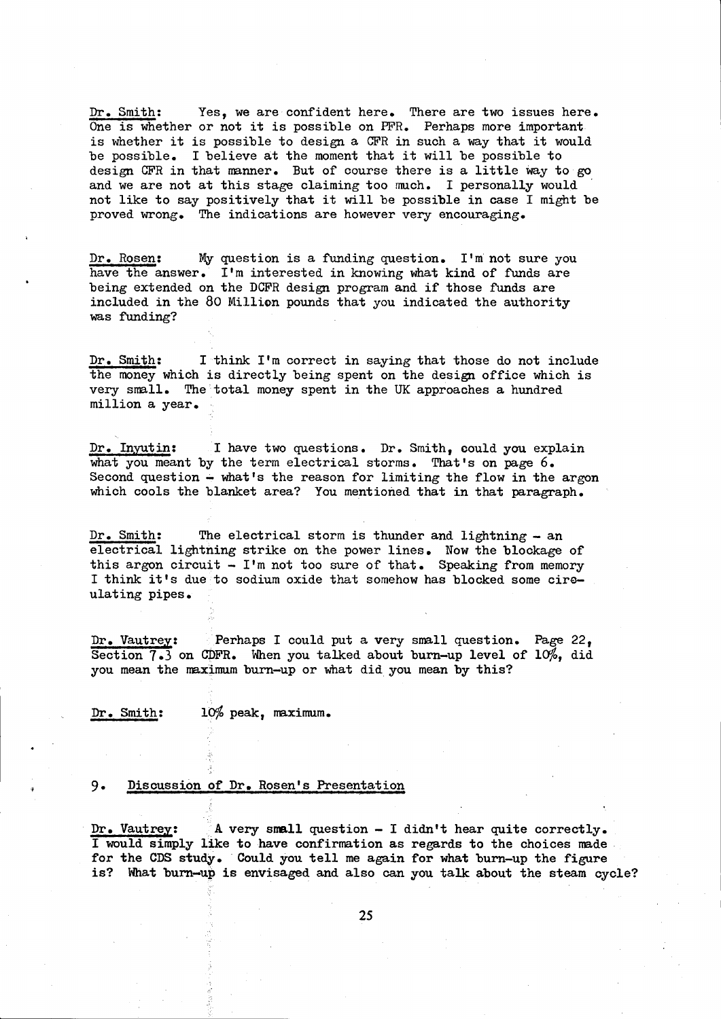Dr. Smith: Yes, we are confident here. There are two issues here. One is whether or not it is possible on PFR. Perhaps more important is whether it is possible to design a CFR in such a way that it would be possible. I believe at the moment that it will be possible to design CFR in that manner. But of course there is a little way to go and we are not at this stage claiming too much. I personally would not like to say positively that it will be possible in case I might be proved wrong. The indications are however very encouraging.

Dr. Rosen: My question is a funding question. I'm not sure you have the answer. I'm interested in knowing what kind of funds are being extended on the DCFR design program and if those funds are included in the 80 Million pounds that you indicated the authority was funding?

Dr. Smith: I think I'm correct in saying that those do not include the money which is directly being spent on the design office which is very small. The total money spent in the UK approaches a hundred million a year.

Dr. Inyutin: I have two questions. Dr. Smith, could you explain what you meant by the term electrical storms. That's on page  $6$ . Second question - what's the reason for limiting the flow in the argon which cools the blanket area? You mentioned that in that paragraph.

Dr. Smith: The electrical storm is thunder and lightning - an electrical lightning strike on the power lines. Now the blockage of this argon circuit - I'm not too sure of that. Speaking from memory I think it's due to sodium oxide that somehow has blocked some circulating pipes.

Dr. Vautrey: Perhaps I could put a very small question. Page  $22$ . Section 7.3 on CDFR. When you talked about burn-up level of 10%, did you mean the maximum burn-up or what did you mean by this?

 $Dr.$  Smith:  $10\%$  peak, maximum.

## 9. Discussion of Dr. Rosen's Presentation

Dr. Vautrey: A very small question - I didn't hear quite correctly. I would simply like to have confirmation as regards to the choices made for the CDS study. Could you tell me again for what burn-up the figure is? What burn-up is envisaged and also can you talk about the steam cycle?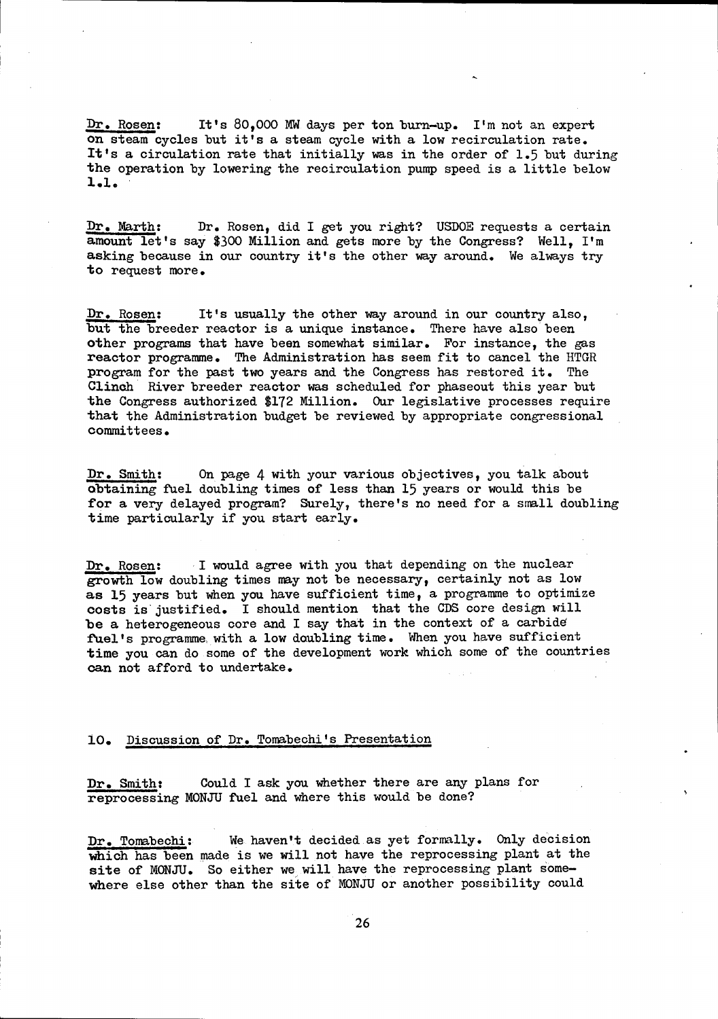$Dr.$  Rosen: It's 80,000 MW days per ton burn-up. I'm not an expert on steam cycles but it's a steam cycle with a low recirculation rate. It's a circulation rate that initially was in the order of 1.5 but during the operation by lowering the recirculation pump speed is a little below<br>1.1.

Dr. Marth: Dr. Rosen, did I get you right? USDOE requests a certain amount let's say \$300 Million and gets more by the Congress? Well, I'm asking because in our country it's the other way around. We always try to request more.

Dr. Rosen: It's usually the other way around in our country also, but the breeder reactor is a unique instance. There have also been other programs that have been somewhat similar. For instance, the gas reactor programme. The Administration has seem fit to cancel the HTGR program for the past two years and the Congress has restored it. The Clinch River breeder reactor was scheduled for phaseout this year but the Congress authorized \$172 Million. Our legislative processes require that the Administration budget be reviewed by appropriate congressional committees.

 $Dr.$  Smith: On page 4 with your various objectives, you talk about obtaining fuel doubling times of less than 15 years or would this be for a very delayed program? Surely, there's no need for a small doubling time particularly if you start early.

Dr. Rosen: I would agree with you that depending on the nuclear growth low doubling times may not be necessary, certainly not as low as 15 years but when you have sufficient time, a programme to optimize costs is justified. I should mention that the CDS core design will be a heterogeneous core and I say that in the context of a carbide fuel's programme, with a low doubling time. When you have sufficient time you can do some of the development work which some of the countries can not afford to undertake.

## 10. Discussion of Dr. Tomabechi's Presentation

Dr. Smith: Could I ask you whether there are any plans for reprocessing MONJU fuel and where this would be done?

Dr. Tomabechi: We haven't decided as yet formally. Only decision which has been made is we will not have the reprocessing plant at the site of MONJU. So either we will have the reprocessing plant somewhere else other than the site of MONJU or another possibility could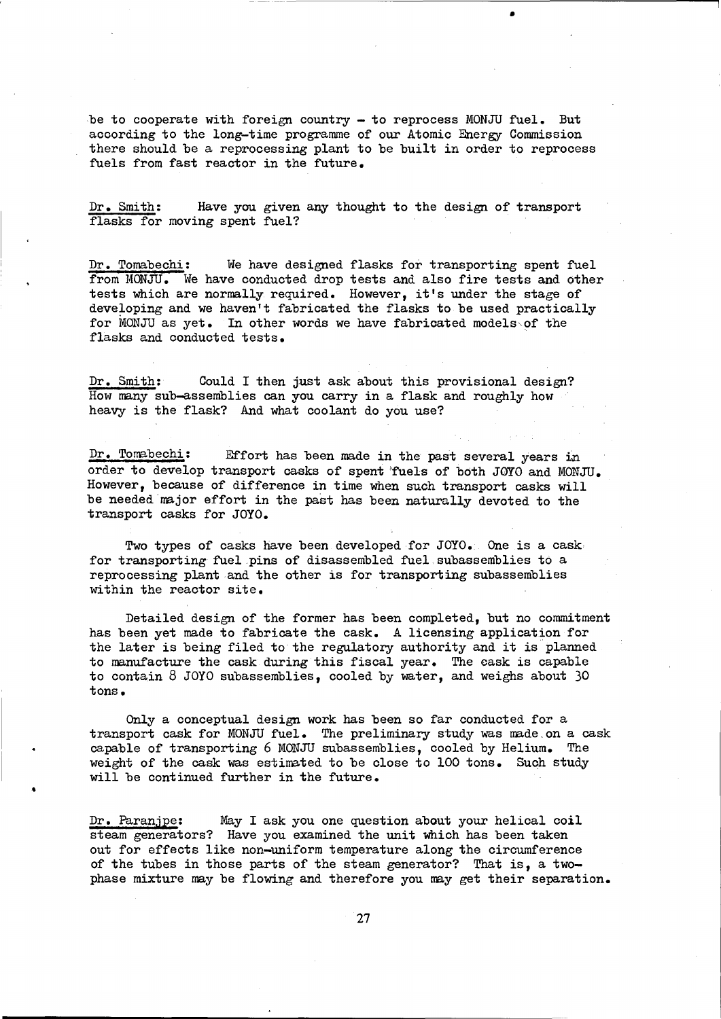be to cooperate with foreign country  $-$  to reprocess MONJU fuel. But according to the long-time programme of our Atomic Energy Commission there should be a reprocessing plant to be built in order to reprocess fuels from fast reactor in the future.

Dr. Smith: Have you given any thought to the design of transport flasks for moving spent fuel?

Dr. Tomabechi: We have designed flasks for transporting spent fuel from MONJU. We have conducted drop tests and also fire tests and other tests which are normally required. However, it's under the stage of developing and we haven't fabricated the flasks to be used practically for MONJU as yet. In other words we have fabricated models of the flasks and conducted tests.

Dr. Smith: Could I then just ask about this provisional design? How many sub-assemblies can you carry in a flask and roughly how heavy is the flask? And what coolant do you use?

Dr. Tomabechi: Effort has been made in the past several years in order to develop transport casks of spent 'fuels of both JOYO and MONJU. However, because of difference in time when such transport casks will be needed major effort in the past has been naturally devoted to the transport casks for JOYO.

Two types of casks have been developed for JOYO. One is a cask for transporting fuel pins of disassembled fuel subassemblies to a reprocessing plant and the other is for transporting subassemblies within the reactor site.

Detailed design of the former has been completed, but no commitment has been yet made to fabricate the cask. A licensing application for the later is being filed to the regulatory authority and it is planned to manufacture the cask during this fiscal year. The cask is capable to contain 8 JOYO subassemblies, cooled by water, and weighs about 30 tons.

Only a conceptual design work has been so far conducted for a transport cask for MONJU fuel. The preliminary study was made on a cask capable of transporting 6 MONJU subassemblies, cooled by Helium. The weight of the cask was estimated to be close to 100 tons. Such study will be continued further in the future.

Dr. Paranjpe: May I ask you one question about your helical coil steam generators? Have you examined the unit which has been taken out for effects like non-uniform temperature along the circumference of the tubes in those parts of the steam generator? That is, a twophase mixture may be flowing and therefore you may get their separation.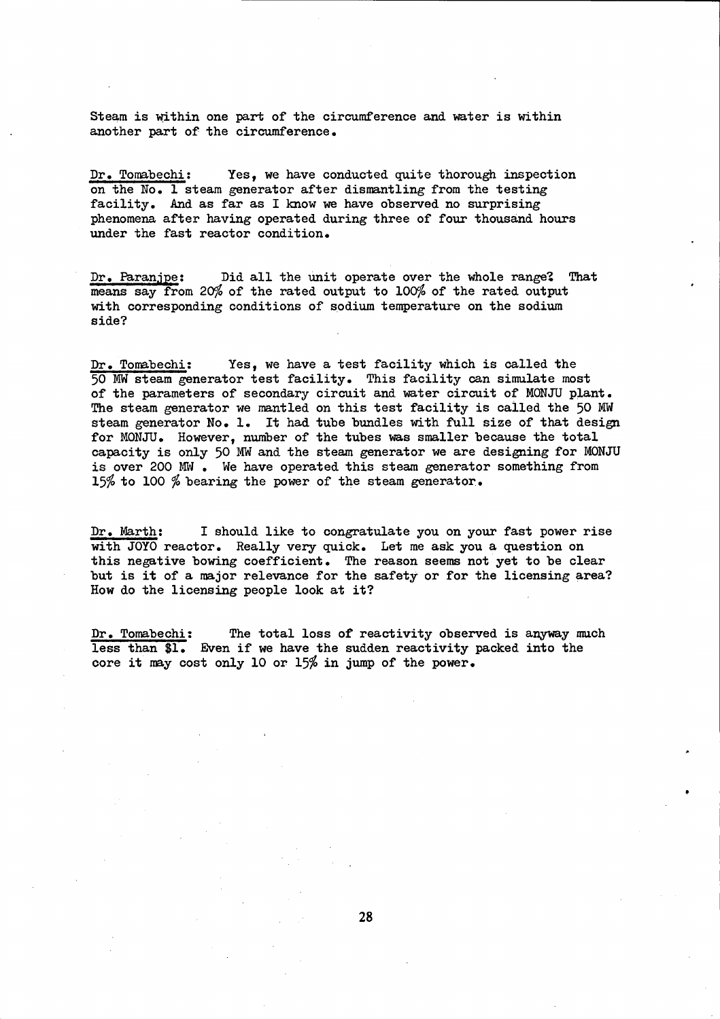Steam is within one part of the circumference and water is within another part of the circumference.

Dr. Tomabechi: Yes, we have conducted quite thorough inspection on the  $No. 1$  steam generator after dismantling from the testing facility. And as far as I know we have observed no surprising phenomena after having operated during three of four thousand hours under the fast reactor condition.

 $Dr.$  Paran.jpe: Did all the unit operate over the whole range? That means say from 20% of the rated output to 100% of the rated output with corresponding conditions of sodium temperature on the sodium side?

Dr. Tomabechi: Yes, we have a test facility which is called the 50 MW steam generator test facility. This facility can simulate most of the parameters of secondary circuit and water circuit of MONJU plant. The steam generator we mantled on this test facility is called the 50 MW steam generator No. 1. It had tube bundles with full size of that design for MONJU. However, number of the tubes was smaller because the total capacity is only 50 MW and the steam generator we are designing for MONJU is over 200 MW. We have operated this steam generator something from 15% to 100 % bearing the power of the steam generator.

Dr. Marth: I should like to congratulate you on your fast power rise with JOYO reactor. Really very quick. Let me ask you a question on this negative bowing coefficient. The reason seems not yet to be clear but is it of a major relevance for the safety or for the licensing area? How do the licensing people look at it?

Dr. Tomabechi: The total loss of reactivity observed is anyway much less than \$1. Even if we have the sudden reactivity packed into the core it may cost only 10 or 15% in jump of the power.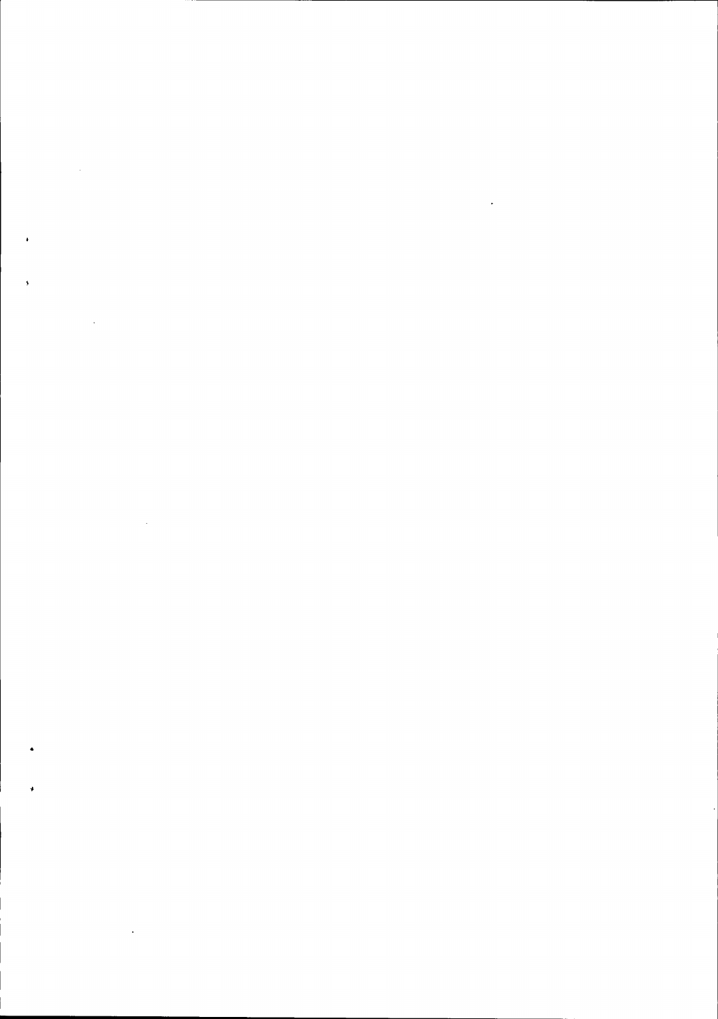$\label{eq:2.1} \frac{1}{\sqrt{2}}\int_{\mathbb{R}^3}\frac{1}{\sqrt{2}}\left(\frac{1}{\sqrt{2}}\right)^2\frac{1}{\sqrt{2}}\left(\frac{1}{\sqrt{2}}\right)^2\frac{1}{\sqrt{2}}\left(\frac{1}{\sqrt{2}}\right)^2\frac{1}{\sqrt{2}}\left(\frac{1}{\sqrt{2}}\right)^2.$  $\bar{\mathbf{s}}$  $\label{eq:2.1} \frac{1}{\sqrt{2}}\left(\frac{1}{\sqrt{2}}\right)^{2} \left(\frac{1}{\sqrt{2}}\right)^{2} \left(\frac{1}{\sqrt{2}}\right)^{2} \left(\frac{1}{\sqrt{2}}\right)^{2} \left(\frac{1}{\sqrt{2}}\right)^{2} \left(\frac{1}{\sqrt{2}}\right)^{2} \left(\frac{1}{\sqrt{2}}\right)^{2} \left(\frac{1}{\sqrt{2}}\right)^{2} \left(\frac{1}{\sqrt{2}}\right)^{2} \left(\frac{1}{\sqrt{2}}\right)^{2} \left(\frac{1}{\sqrt{2}}\right)^{2} \left(\$  $\mathcal{L}(\mathcal{L}^{\mathcal{L}})$  and  $\mathcal{L}(\mathcal{L}^{\mathcal{L}})$  and  $\mathcal{L}(\mathcal{L}^{\mathcal{L}})$  and  $\mathcal{L}(\mathcal{L}^{\mathcal{L}})$ 

 $\mathcal{L}^{\mathcal{L}}(\mathcal{L}^{\mathcal{L}})$  . The set of  $\mathcal{L}^{\mathcal{L}}(\mathcal{L}^{\mathcal{L}})$